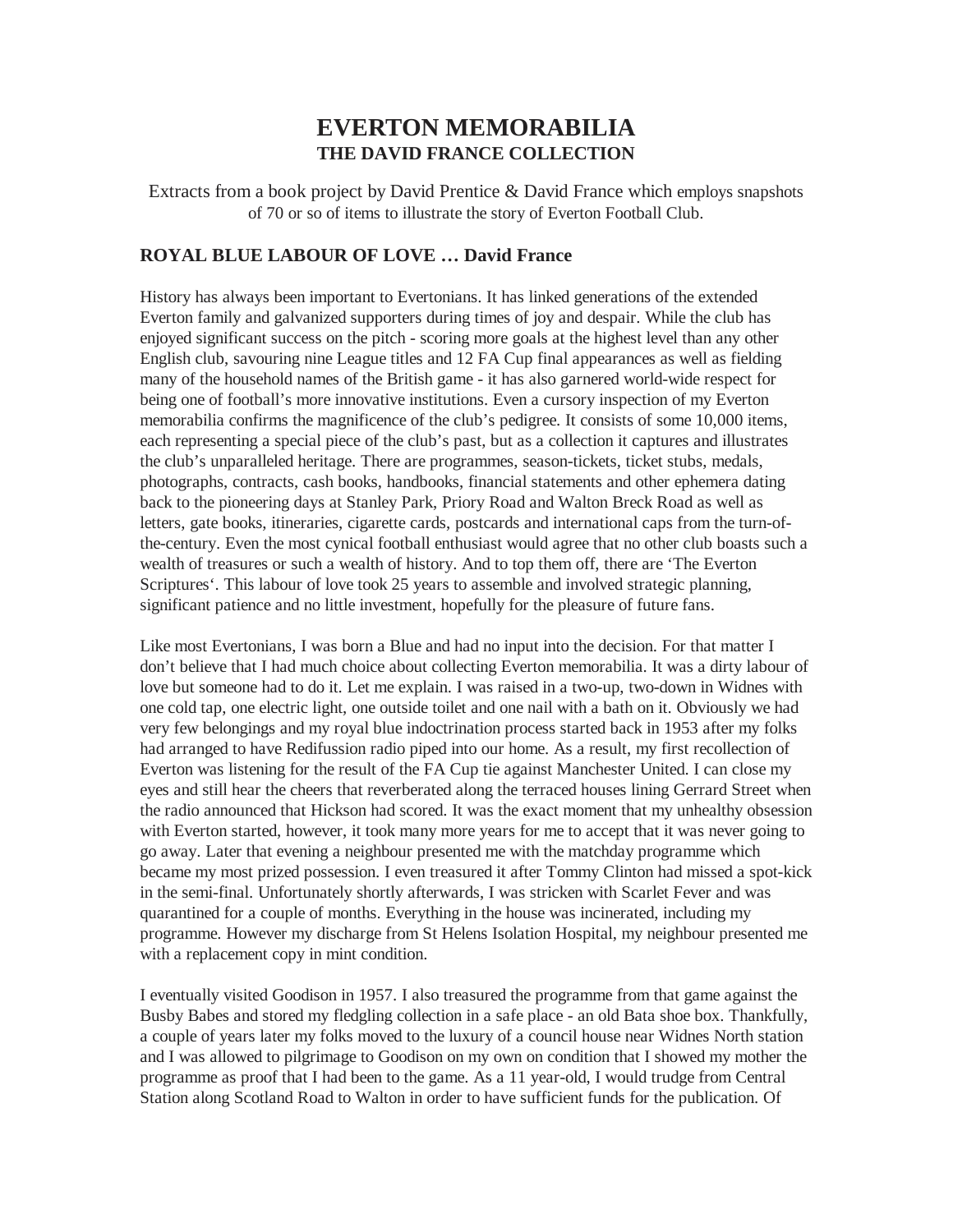# **EVERTON MEMORABILIA THE DAVID FRANCE COLLECTION**

Extracts from a book project by David Prentice & David France which employs snapshots of 70 or so of items to illustrate the story of Everton Football Club.

# **ROYAL BLUE LABOUR OF LOVE … David France**

History has always been important to Evertonians. It has linked generations of the extended Everton family and galvanized supporters during times of joy and despair. While the club has enjoyed significant success on the pitch - scoring more goals at the highest level than any other English club, savouring nine League titles and 12 FA Cup final appearances as well as fielding many of the household names of the British game - it has also garnered world-wide respect for being one of football's more innovative institutions. Even a cursory inspection of my Everton memorabilia confirms the magnificence of the club's pedigree. It consists of some 10,000 items, each representing a special piece of the club's past, but as a collection it captures and illustrates the club's unparalleled heritage. There are programmes, season-tickets, ticket stubs, medals, photographs, contracts, cash books, handbooks, financial statements and other ephemera dating back to the pioneering days at Stanley Park, Priory Road and Walton Breck Road as well as letters, gate books, itineraries, cigarette cards, postcards and international caps from the turn-ofthe-century. Even the most cynical football enthusiast would agree that no other club boasts such a wealth of treasures or such a wealth of history. And to top them off, there are 'The Everton Scriptures'. This labour of love took 25 years to assemble and involved strategic planning, significant patience and no little investment, hopefully for the pleasure of future fans.

Like most Evertonians, I was born a Blue and had no input into the decision. For that matter I don't believe that I had much choice about collecting Everton memorabilia. It was a dirty labour of love but someone had to do it. Let me explain. I was raised in a two-up, two-down in Widnes with one cold tap, one electric light, one outside toilet and one nail with a bath on it. Obviously we had very few belongings and my royal blue indoctrination process started back in 1953 after my folks had arranged to have Redifussion radio piped into our home. As a result, my first recollection of Everton was listening for the result of the FA Cup tie against Manchester United. I can close my eyes and still hear the cheers that reverberated along the terraced houses lining Gerrard Street when the radio announced that Hickson had scored. It was the exact moment that my unhealthy obsession with Everton started, however, it took many more years for me to accept that it was never going to go away. Later that evening a neighbour presented me with the matchday programme which became my most prized possession. I even treasured it after Tommy Clinton had missed a spot-kick in the semi-final. Unfortunately shortly afterwards, I was stricken with Scarlet Fever and was quarantined for a couple of months. Everything in the house was incinerated, including my programme. However my discharge from St Helens Isolation Hospital, my neighbour presented me with a replacement copy in mint condition.

I eventually visited Goodison in 1957. I also treasured the programme from that game against the Busby Babes and stored my fledgling collection in a safe place - an old Bata shoe box. Thankfully, a couple of years later my folks moved to the luxury of a council house near Widnes North station and I was allowed to pilgrimage to Goodison on my own on condition that I showed my mother the programme as proof that I had been to the game. As a 11 year-old, I would trudge from Central Station along Scotland Road to Walton in order to have sufficient funds for the publication. Of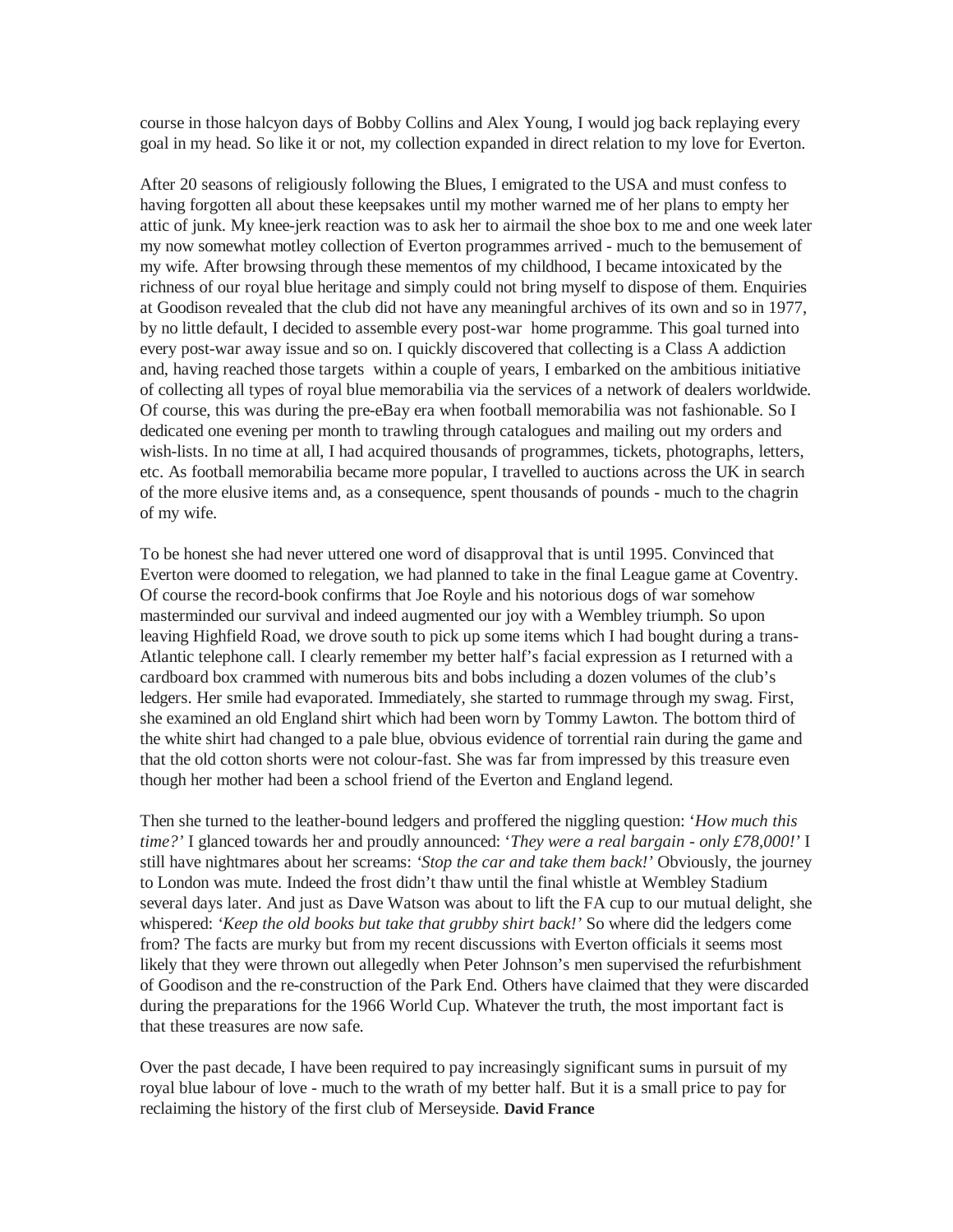course in those halcyon days of Bobby Collins and Alex Young, I would jog back replaying every goal in my head. So like it or not, my collection expanded in direct relation to my love for Everton.

After 20 seasons of religiously following the Blues, I emigrated to the USA and must confess to having forgotten all about these keepsakes until my mother warned me of her plans to empty her attic of junk. My knee-jerk reaction was to ask her to airmail the shoe box to me and one week later my now somewhat motley collection of Everton programmes arrived - much to the bemusement of my wife. After browsing through these mementos of my childhood, I became intoxicated by the richness of our royal blue heritage and simply could not bring myself to dispose of them. Enquiries at Goodison revealed that the club did not have any meaningful archives of its own and so in 1977, by no little default, I decided to assemble every post-war home programme. This goal turned into every post-war away issue and so on. I quickly discovered that collecting is a Class A addiction and, having reached those targets within a couple of years, I embarked on the ambitious initiative of collecting all types of royal blue memorabilia via the services of a network of dealers worldwide. Of course, this was during the pre-eBay era when football memorabilia was not fashionable. So I dedicated one evening per month to trawling through catalogues and mailing out my orders and wish-lists. In no time at all, I had acquired thousands of programmes, tickets, photographs, letters, etc. As football memorabilia became more popular, I travelled to auctions across the UK in search of the more elusive items and, as a consequence, spent thousands of pounds - much to the chagrin of my wife.

To be honest she had never uttered one word of disapproval that is until 1995. Convinced that Everton were doomed to relegation, we had planned to take in the final League game at Coventry. Of course the record-book confirms that Joe Royle and his notorious dogs of war somehow masterminded our survival and indeed augmented our joy with a Wembley triumph. So upon leaving Highfield Road, we drove south to pick up some items which I had bought during a trans-Atlantic telephone call. I clearly remember my better half's facial expression as I returned with a cardboard box crammed with numerous bits and bobs including a dozen volumes of the club's ledgers. Her smile had evaporated. Immediately, she started to rummage through my swag. First, she examined an old England shirt which had been worn by Tommy Lawton. The bottom third of the white shirt had changed to a pale blue, obvious evidence of torrential rain during the game and that the old cotton shorts were not colour-fast. She was far from impressed by this treasure even though her mother had been a school friend of the Everton and England legend.

Then she turned to the leather-bound ledgers and proffered the niggling question: '*How much this time?'* I glanced towards her and proudly announced: '*They were a real bargain - only £78,000!'* I still have nightmares about her screams: *'Stop the car and take them back!'* Obviously, the journey to London was mute. Indeed the frost didn't thaw until the final whistle at Wembley Stadium several days later. And just as Dave Watson was about to lift the FA cup to our mutual delight, she whispered: *'Keep the old books but take that grubby shirt back!'* So where did the ledgers come from? The facts are murky but from my recent discussions with Everton officials it seems most likely that they were thrown out allegedly when Peter Johnson's men supervised the refurbishment of Goodison and the re-construction of the Park End. Others have claimed that they were discarded during the preparations for the 1966 World Cup. Whatever the truth, the most important fact is that these treasures are now safe.

Over the past decade, I have been required to pay increasingly significant sums in pursuit of my royal blue labour of love - much to the wrath of my better half. But it is a small price to pay for reclaiming the history of the first club of Merseyside. **David France**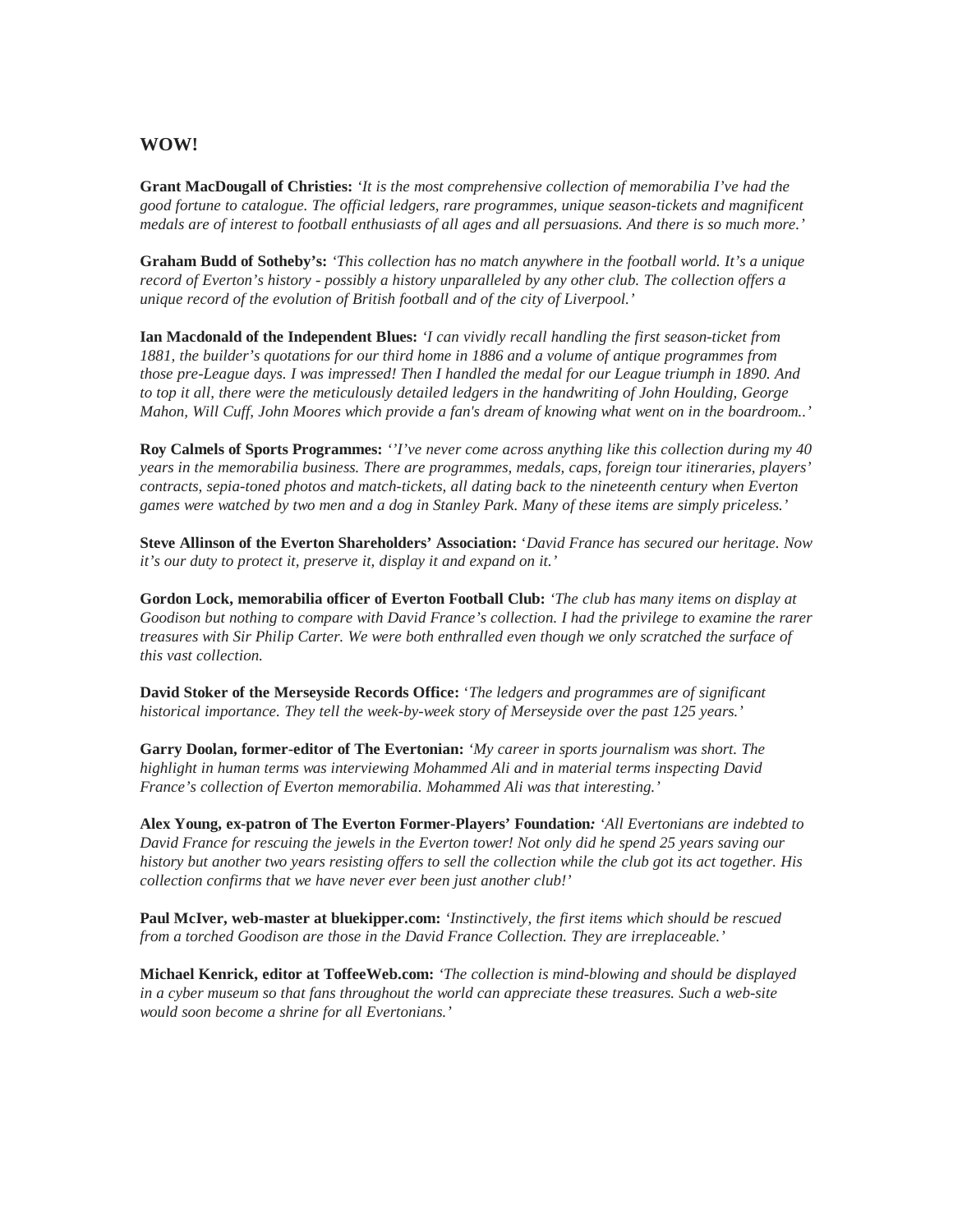### **WOW!**

**Grant MacDougall of Christies:** *'It is the most comprehensive collection of memorabilia I've had the good fortune to catalogue. The official ledgers, rare programmes, unique season-tickets and magnificent medals are of interest to football enthusiasts of all ages and all persuasions. And there is so much more.'* 

**Graham Budd of Sotheby's:** *'This collection has no match anywhere in the football world. It's a unique record of Everton's history - possibly a history unparalleled by any other club. The collection offers a unique record of the evolution of British football and of the city of Liverpool.'* 

**Ian Macdonald of the Independent Blues:** *'I can vividly recall handling the first season-ticket from 1881, the builder's quotations for our third home in 1886 and a volume of antique programmes from those pre-League days. I was impressed! Then I handled the medal for our League triumph in 1890. And to top it all, there were the meticulously detailed ledgers in the handwriting of John Houlding, George Mahon, Will Cuff, John Moores which provide a fan's dream of knowing what went on in the boardroom..'* 

**Roy Calmels of Sports Programmes:** *''I've never come across anything like this collection during my 40 years in the memorabilia business. There are programmes, medals, caps, foreign tour itineraries, players' contracts, sepia-toned photos and match-tickets, all dating back to the nineteenth century when Everton games were watched by two men and a dog in Stanley Park. Many of these items are simply priceless.'* 

**Steve Allinson of the Everton Shareholders' Association:** '*David France has secured our heritage. Now it's our duty to protect it, preserve it, display it and expand on it.'*

**Gordon Lock, memorabilia officer of Everton Football Club:** *'The club has many items on display at Goodison but nothing to compare with David France's collection. I had the privilege to examine the rarer treasures with Sir Philip Carter. We were both enthralled even though we only scratched the surface of this vast collection.* 

**David Stoker of the Merseyside Records Office:** '*The ledgers and programmes are of significant historical importance. They tell the week-by-week story of Merseyside over the past 125 years.'* 

**Garry Doolan, former-editor of The Evertonian:** *'My career in sports journalism was short. The highlight in human terms was interviewing Mohammed Ali and in material terms inspecting David France's collection of Everton memorabilia. Mohammed Ali was that interesting.'* 

**Alex Young, ex-patron of The Everton Former-Players' Foundation***: 'All Evertonians are indebted to David France for rescuing the jewels in the Everton tower! Not only did he spend 25 years saving our history but another two years resisting offers to sell the collection while the club got its act together. His collection confirms that we have never ever been just another club!'* 

**Paul McIver, web-master at bluekipper.com:** *'Instinctively, the first items which should be rescued from a torched Goodison are those in the David France Collection. They are irreplaceable.'* 

**Michael Kenrick, editor at ToffeeWeb.com:** *'The collection is mind-blowing and should be displayed in a cyber museum so that fans throughout the world can appreciate these treasures. Such a web-site would soon become a shrine for all Evertonians.'*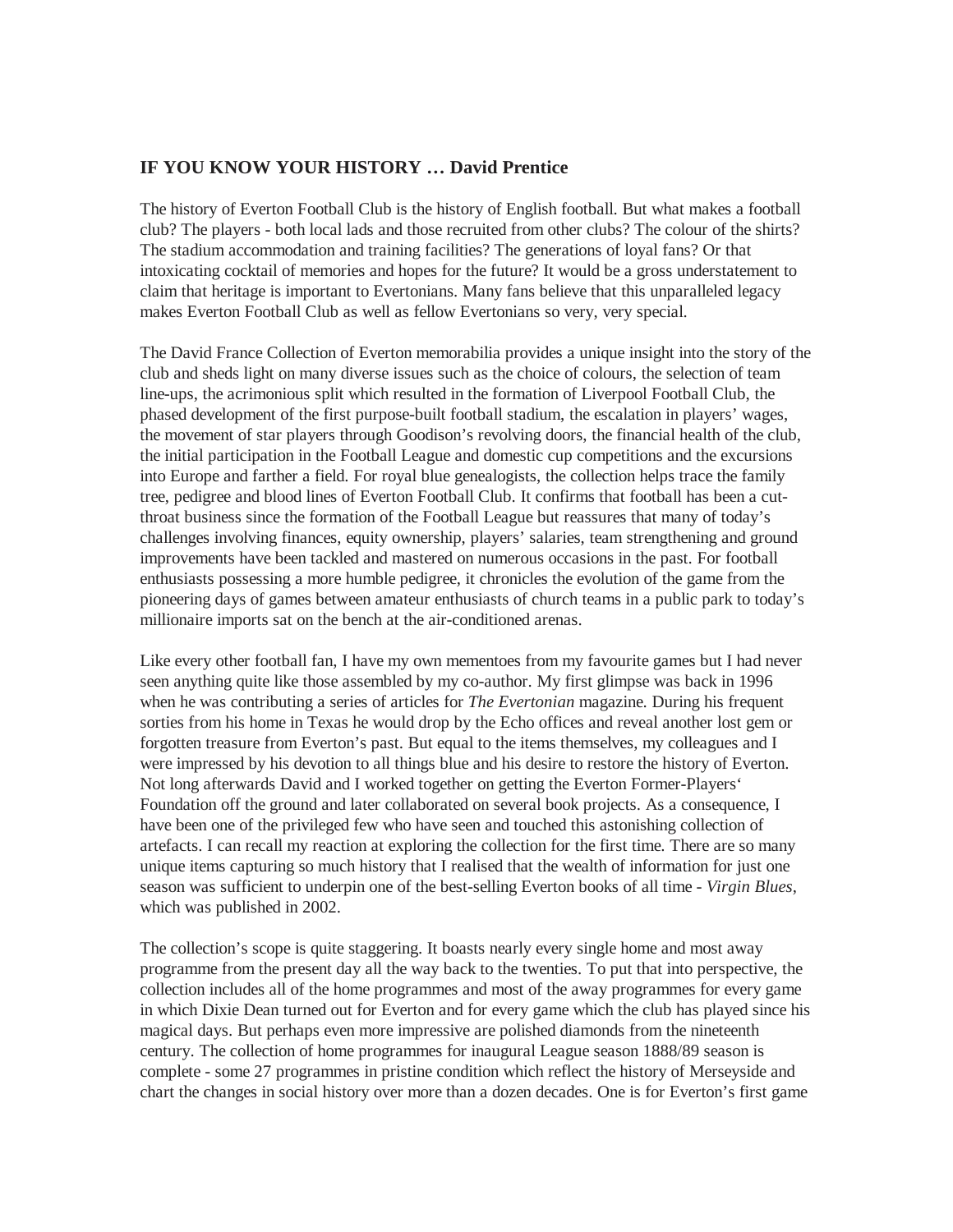# **IF YOU KNOW YOUR HISTORY … David Prentice**

The history of Everton Football Club is the history of English football. But what makes a football club? The players - both local lads and those recruited from other clubs? The colour of the shirts? The stadium accommodation and training facilities? The generations of loyal fans? Or that intoxicating cocktail of memories and hopes for the future? It would be a gross understatement to claim that heritage is important to Evertonians. Many fans believe that this unparalleled legacy makes Everton Football Club as well as fellow Evertonians so very, very special.

The David France Collection of Everton memorabilia provides a unique insight into the story of the club and sheds light on many diverse issues such as the choice of colours, the selection of team line-ups, the acrimonious split which resulted in the formation of Liverpool Football Club, the phased development of the first purpose-built football stadium, the escalation in players' wages, the movement of star players through Goodison's revolving doors, the financial health of the club, the initial participation in the Football League and domestic cup competitions and the excursions into Europe and farther a field. For royal blue genealogists, the collection helps trace the family tree, pedigree and blood lines of Everton Football Club. It confirms that football has been a cutthroat business since the formation of the Football League but reassures that many of today's challenges involving finances, equity ownership, players' salaries, team strengthening and ground improvements have been tackled and mastered on numerous occasions in the past. For football enthusiasts possessing a more humble pedigree, it chronicles the evolution of the game from the pioneering days of games between amateur enthusiasts of church teams in a public park to today's millionaire imports sat on the bench at the air-conditioned arenas.

Like every other football fan, I have my own mementoes from my favourite games but I had never seen anything quite like those assembled by my co-author. My first glimpse was back in 1996 when he was contributing a series of articles for *The Evertonian* magazine. During his frequent sorties from his home in Texas he would drop by the Echo offices and reveal another lost gem or forgotten treasure from Everton's past. But equal to the items themselves, my colleagues and I were impressed by his devotion to all things blue and his desire to restore the history of Everton. Not long afterwards David and I worked together on getting the Everton Former-Players' Foundation off the ground and later collaborated on several book projects. As a consequence, I have been one of the privileged few who have seen and touched this astonishing collection of artefacts. I can recall my reaction at exploring the collection for the first time. There are so many unique items capturing so much history that I realised that the wealth of information for just one season was sufficient to underpin one of the best-selling Everton books of all time - *Virgin Blues*, which was published in 2002.

The collection's scope is quite staggering. It boasts nearly every single home and most away programme from the present day all the way back to the twenties. To put that into perspective, the collection includes all of the home programmes and most of the away programmes for every game in which Dixie Dean turned out for Everton and for every game which the club has played since his magical days. But perhaps even more impressive are polished diamonds from the nineteenth century. The collection of home programmes for inaugural League season 1888/89 season is complete - some 27 programmes in pristine condition which reflect the history of Merseyside and chart the changes in social history over more than a dozen decades. One is for Everton's first game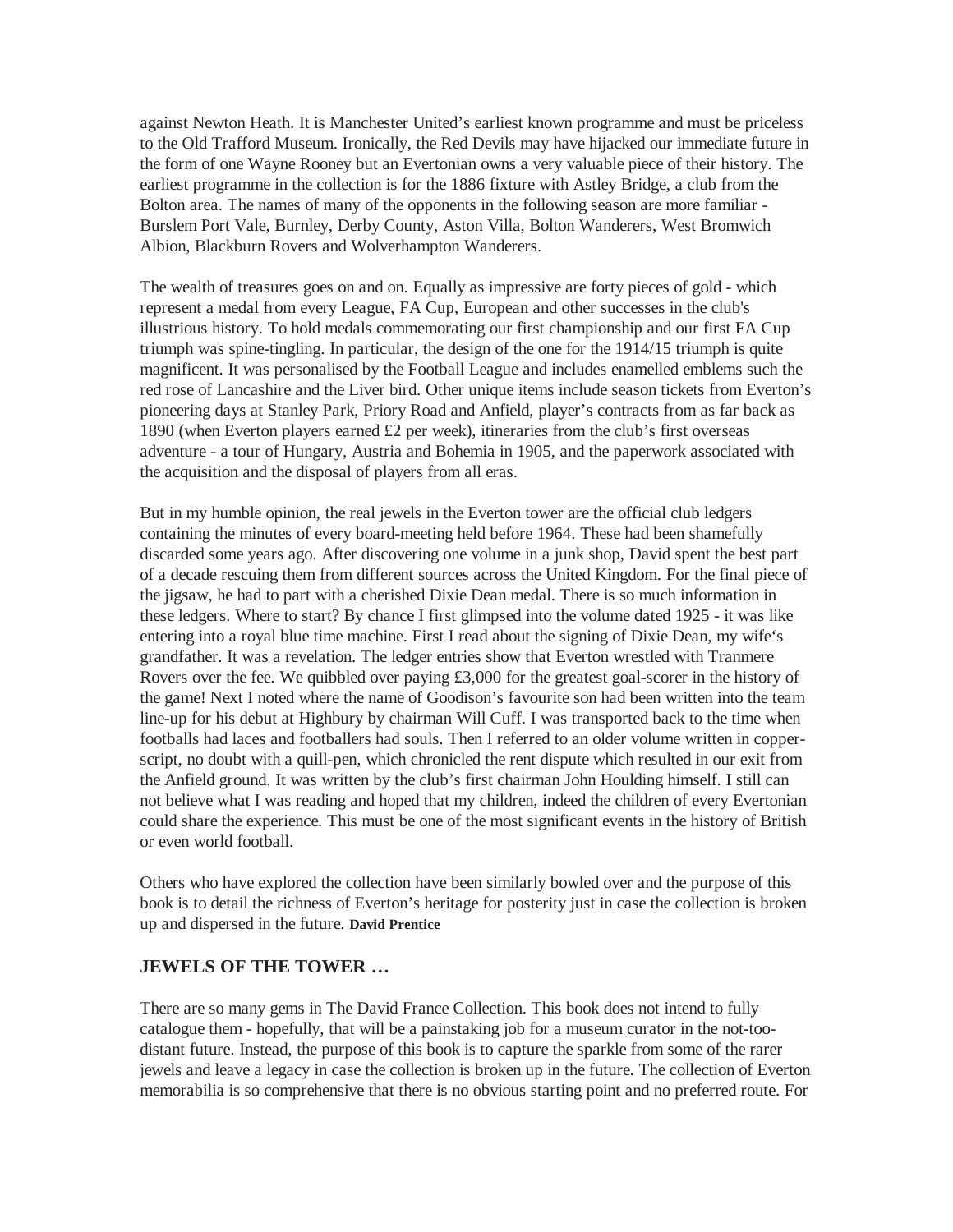against Newton Heath. It is Manchester United's earliest known programme and must be priceless to the Old Trafford Museum. Ironically, the Red Devils may have hijacked our immediate future in the form of one Wayne Rooney but an Evertonian owns a very valuable piece of their history. The earliest programme in the collection is for the 1886 fixture with Astley Bridge, a club from the Bolton area. The names of many of the opponents in the following season are more familiar - Burslem Port Vale, Burnley, Derby County, Aston Villa, Bolton Wanderers, West Bromwich Albion, Blackburn Rovers and Wolverhampton Wanderers.

The wealth of treasures goes on and on. Equally as impressive are forty pieces of gold - which represent a medal from every League, FA Cup, European and other successes in the club's illustrious history. To hold medals commemorating our first championship and our first FA Cup triumph was spine-tingling. In particular, the design of the one for the 1914/15 triumph is quite magnificent. It was personalised by the Football League and includes enamelled emblems such the red rose of Lancashire and the Liver bird. Other unique items include season tickets from Everton's pioneering days at Stanley Park, Priory Road and Anfield, player's contracts from as far back as 1890 (when Everton players earned £2 per week), itineraries from the club's first overseas adventure - a tour of Hungary, Austria and Bohemia in 1905, and the paperwork associated with the acquisition and the disposal of players from all eras.

But in my humble opinion, the real jewels in the Everton tower are the official club ledgers containing the minutes of every board-meeting held before 1964. These had been shamefully discarded some years ago. After discovering one volume in a junk shop, David spent the best part of a decade rescuing them from different sources across the United Kingdom. For the final piece of the jigsaw, he had to part with a cherished Dixie Dean medal. There is so much information in these ledgers. Where to start? By chance I first glimpsed into the volume dated 1925 - it was like entering into a royal blue time machine. First I read about the signing of Dixie Dean, my wife's grandfather. It was a revelation. The ledger entries show that Everton wrestled with Tranmere Rovers over the fee. We quibbled over paying £3,000 for the greatest goal-scorer in the history of the game! Next I noted where the name of Goodison's favourite son had been written into the team line-up for his debut at Highbury by chairman Will Cuff. I was transported back to the time when footballs had laces and footballers had souls. Then I referred to an older volume written in copperscript, no doubt with a quill-pen, which chronicled the rent dispute which resulted in our exit from the Anfield ground. It was written by the club's first chairman John Houlding himself. I still can not believe what I was reading and hoped that my children, indeed the children of every Evertonian could share the experience. This must be one of the most significant events in the history of British or even world football.

Others who have explored the collection have been similarly bowled over and the purpose of this book is to detail the richness of Everton's heritage for posterity just in case the collection is broken up and dispersed in the future. **David Prentice**

# **JEWELS OF THE TOWER …**

There are so many gems in The David France Collection. This book does not intend to fully catalogue them - hopefully, that will be a painstaking job for a museum curator in the not-toodistant future. Instead, the purpose of this book is to capture the sparkle from some of the rarer jewels and leave a legacy in case the collection is broken up in the future. The collection of Everton memorabilia is so comprehensive that there is no obvious starting point and no preferred route. For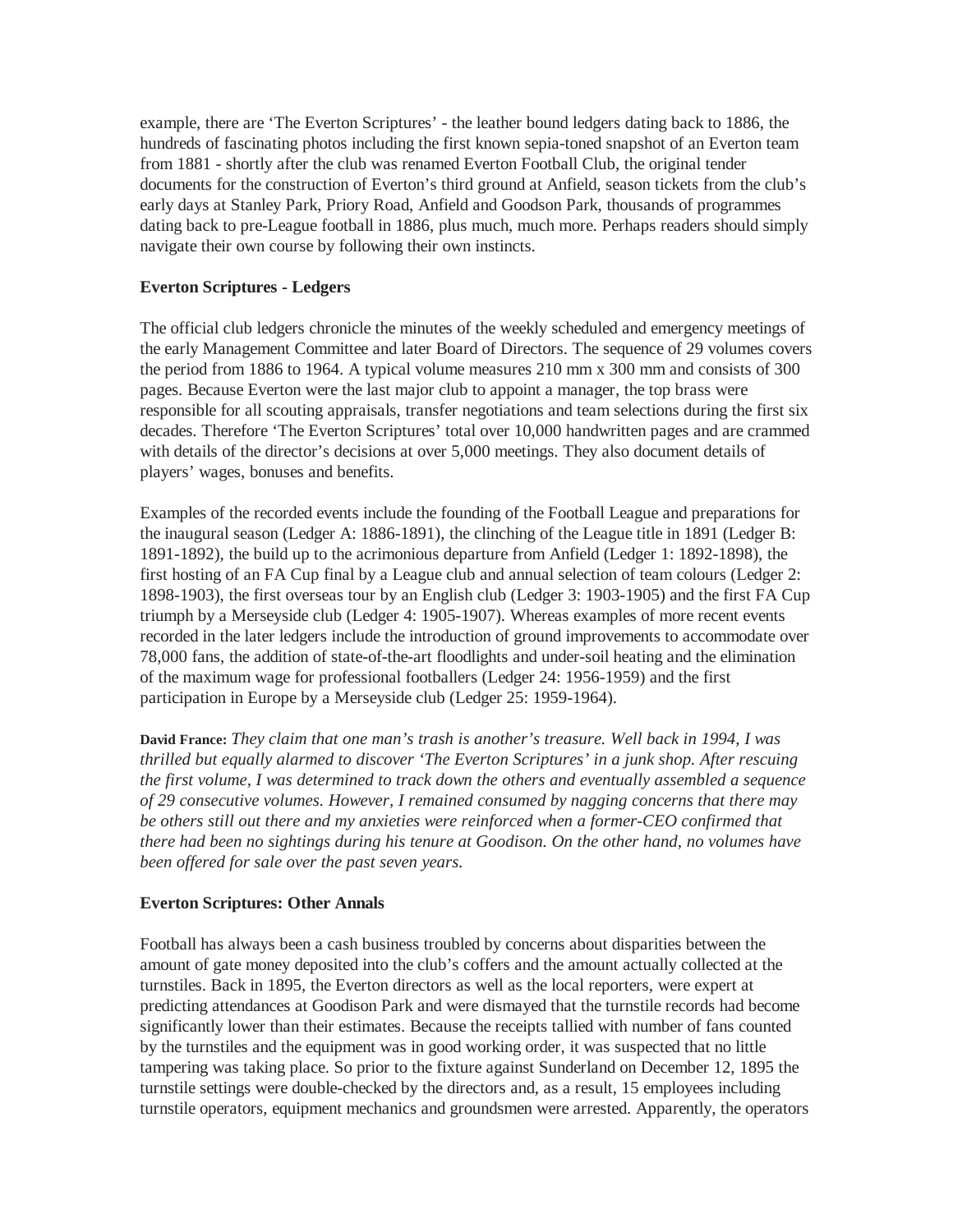example, there are 'The Everton Scriptures' - the leather bound ledgers dating back to 1886, the hundreds of fascinating photos including the first known sepia-toned snapshot of an Everton team from 1881 - shortly after the club was renamed Everton Football Club, the original tender documents for the construction of Everton's third ground at Anfield, season tickets from the club's early days at Stanley Park, Priory Road, Anfield and Goodson Park, thousands of programmes dating back to pre-League football in 1886, plus much, much more. Perhaps readers should simply navigate their own course by following their own instincts.

# **Everton Scriptures - Ledgers**

The official club ledgers chronicle the minutes of the weekly scheduled and emergency meetings of the early Management Committee and later Board of Directors. The sequence of 29 volumes covers the period from 1886 to 1964. A typical volume measures 210 mm x 300 mm and consists of 300 pages. Because Everton were the last major club to appoint a manager, the top brass were responsible for all scouting appraisals, transfer negotiations and team selections during the first six decades. Therefore 'The Everton Scriptures' total over 10,000 handwritten pages and are crammed with details of the director's decisions at over 5,000 meetings. They also document details of players' wages, bonuses and benefits.

Examples of the recorded events include the founding of the Football League and preparations for the inaugural season (Ledger A: 1886-1891), the clinching of the League title in 1891 (Ledger B: 1891-1892), the build up to the acrimonious departure from Anfield (Ledger 1: 1892-1898), the first hosting of an FA Cup final by a League club and annual selection of team colours (Ledger 2: 1898-1903), the first overseas tour by an English club (Ledger 3: 1903-1905) and the first FA Cup triumph by a Merseyside club (Ledger 4: 1905-1907). Whereas examples of more recent events recorded in the later ledgers include the introduction of ground improvements to accommodate over 78,000 fans, the addition of state-of-the-art floodlights and under-soil heating and the elimination of the maximum wage for professional footballers (Ledger 24: 1956-1959) and the first participation in Europe by a Merseyside club (Ledger 25: 1959-1964).

**David France:** *They claim that one man's trash is another's treasure. Well back in 1994, I was thrilled but equally alarmed to discover 'The Everton Scriptures' in a junk shop. After rescuing the first volume, I was determined to track down the others and eventually assembled a sequence of 29 consecutive volumes. However, I remained consumed by nagging concerns that there may be others still out there and my anxieties were reinforced when a former-CEO confirmed that there had been no sightings during his tenure at Goodison. On the other hand, no volumes have been offered for sale over the past seven years.* 

# **Everton Scriptures: Other Annals**

Football has always been a cash business troubled by concerns about disparities between the amount of gate money deposited into the club's coffers and the amount actually collected at the turnstiles. Back in 1895, the Everton directors as well as the local reporters, were expert at predicting attendances at Goodison Park and were dismayed that the turnstile records had become significantly lower than their estimates. Because the receipts tallied with number of fans counted by the turnstiles and the equipment was in good working order, it was suspected that no little tampering was taking place. So prior to the fixture against Sunderland on December 12, 1895 the turnstile settings were double-checked by the directors and, as a result, 15 employees including turnstile operators, equipment mechanics and groundsmen were arrested. Apparently, the operators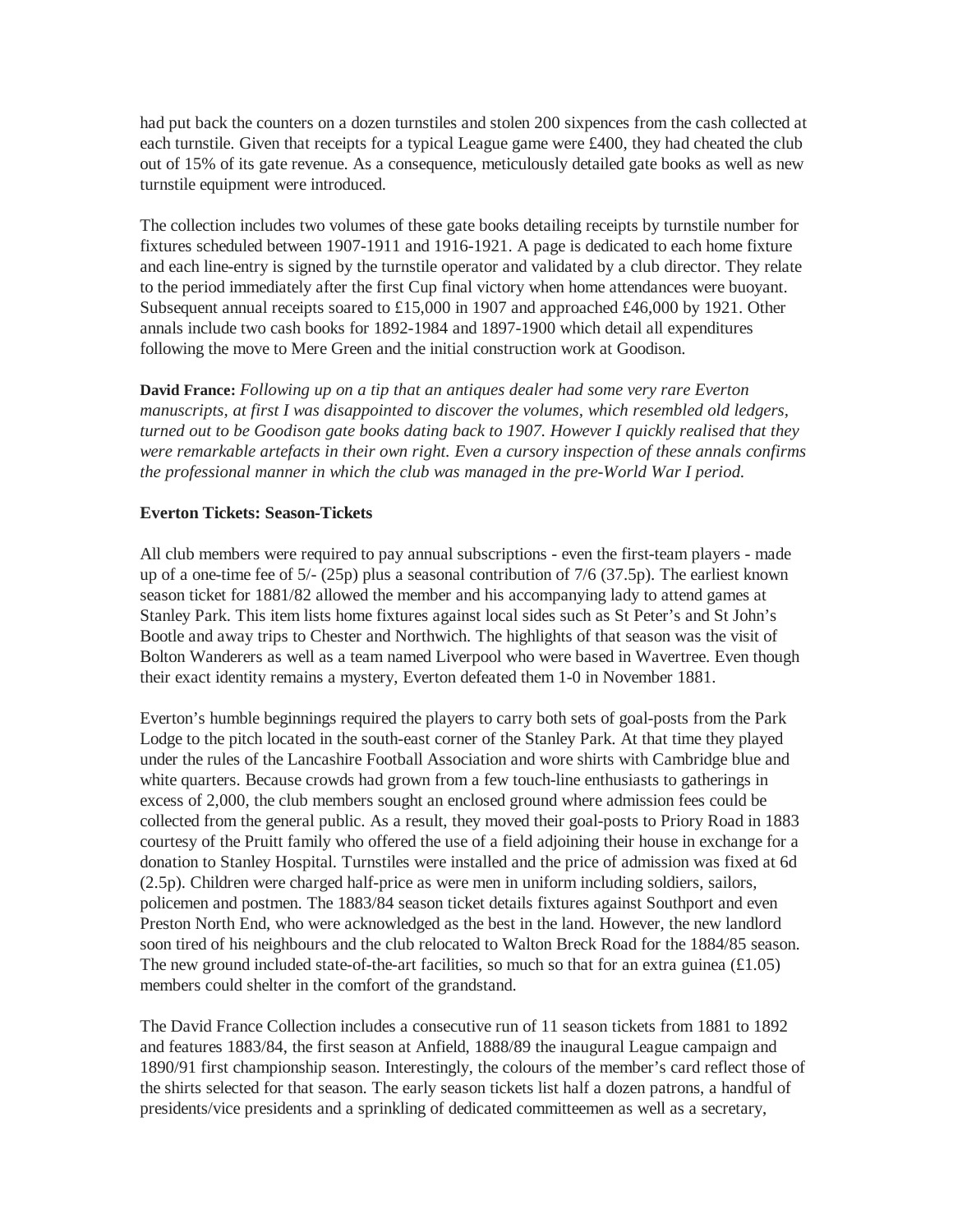had put back the counters on a dozen turnstiles and stolen 200 sixpences from the cash collected at each turnstile. Given that receipts for a typical League game were £400, they had cheated the club out of 15% of its gate revenue. As a consequence, meticulously detailed gate books as well as new turnstile equipment were introduced.

The collection includes two volumes of these gate books detailing receipts by turnstile number for fixtures scheduled between 1907-1911 and 1916-1921. A page is dedicated to each home fixture and each line-entry is signed by the turnstile operator and validated by a club director. They relate to the period immediately after the first Cup final victory when home attendances were buoyant. Subsequent annual receipts soared to £15,000 in 1907 and approached £46,000 by 1921. Other annals include two cash books for 1892-1984 and 1897-1900 which detail all expenditures following the move to Mere Green and the initial construction work at Goodison.

**David France:** *Following up on a tip that an antiques dealer had some very rare Everton manuscripts, at first I was disappointed to discover the volumes, which resembled old ledgers, turned out to be Goodison gate books dating back to 1907. However I quickly realised that they were remarkable artefacts in their own right. Even a cursory inspection of these annals confirms the professional manner in which the club was managed in the pre-World War I period.* 

# **Everton Tickets: Season-Tickets**

All club members were required to pay annual subscriptions - even the first-team players - made up of a one-time fee of 5/- (25p) plus a seasonal contribution of 7/6 (37.5p). The earliest known season ticket for 1881/82 allowed the member and his accompanying lady to attend games at Stanley Park. This item lists home fixtures against local sides such as St Peter's and St John's Bootle and away trips to Chester and Northwich. The highlights of that season was the visit of Bolton Wanderers as well as a team named Liverpool who were based in Wavertree. Even though their exact identity remains a mystery, Everton defeated them 1-0 in November 1881.

Everton's humble beginnings required the players to carry both sets of goal-posts from the Park Lodge to the pitch located in the south-east corner of the Stanley Park. At that time they played under the rules of the Lancashire Football Association and wore shirts with Cambridge blue and white quarters. Because crowds had grown from a few touch-line enthusiasts to gatherings in excess of 2,000, the club members sought an enclosed ground where admission fees could be collected from the general public. As a result, they moved their goal-posts to Priory Road in 1883 courtesy of the Pruitt family who offered the use of a field adjoining their house in exchange for a donation to Stanley Hospital. Turnstiles were installed and the price of admission was fixed at 6d (2.5p). Children were charged half-price as were men in uniform including soldiers, sailors, policemen and postmen. The 1883/84 season ticket details fixtures against Southport and even Preston North End, who were acknowledged as the best in the land. However, the new landlord soon tired of his neighbours and the club relocated to Walton Breck Road for the 1884/85 season. The new ground included state-of-the-art facilities, so much so that for an extra guinea  $(\text{\textsterling}1.05)$ members could shelter in the comfort of the grandstand.

The David France Collection includes a consecutive run of 11 season tickets from 1881 to 1892 and features 1883/84, the first season at Anfield, 1888/89 the inaugural League campaign and 1890/91 first championship season. Interestingly, the colours of the member's card reflect those of the shirts selected for that season. The early season tickets list half a dozen patrons, a handful of presidents/vice presidents and a sprinkling of dedicated committeemen as well as a secretary,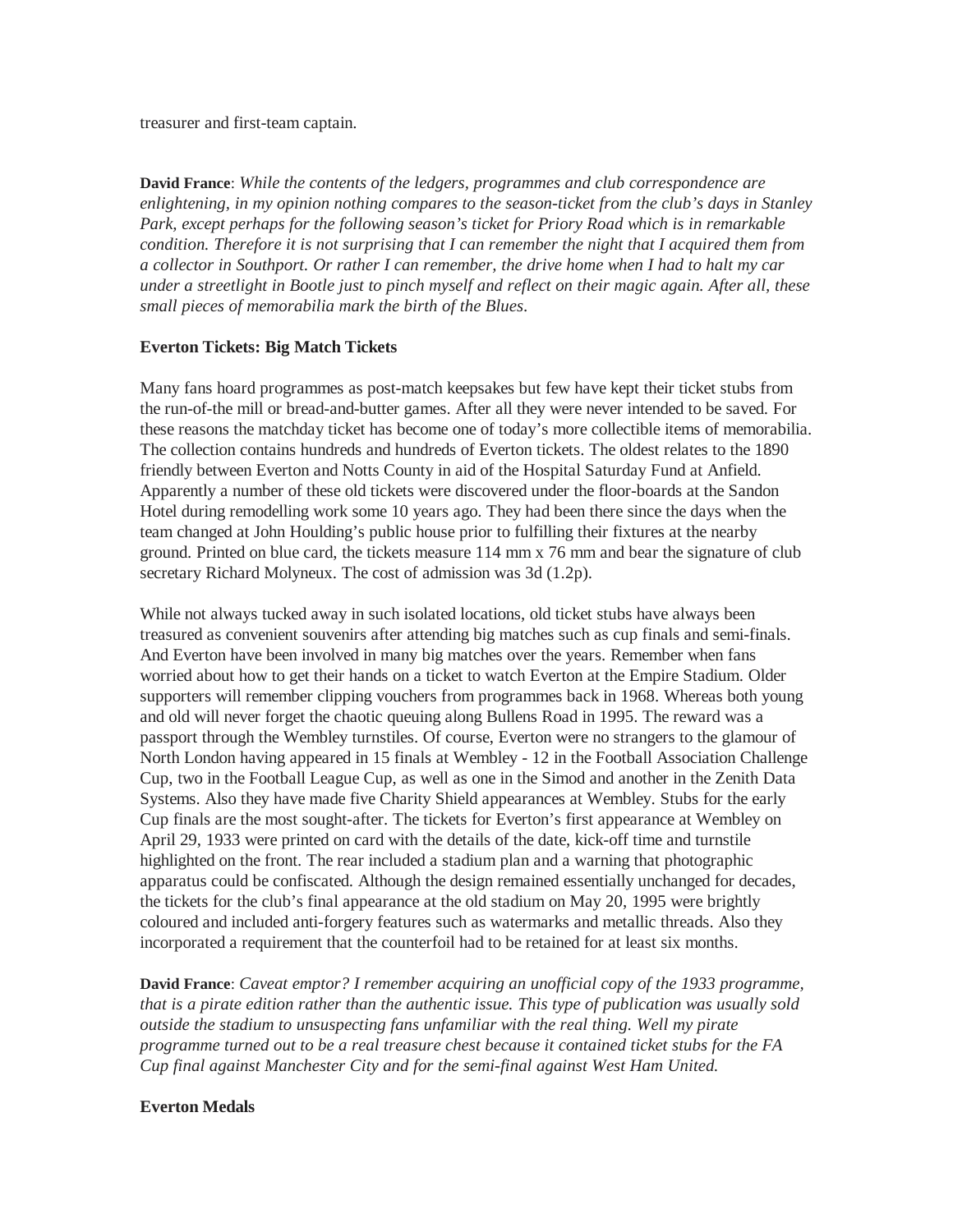treasurer and first-team captain.

**David France**: *While the contents of the ledgers, programmes and club correspondence are enlightening, in my opinion nothing compares to the season-ticket from the club's days in Stanley Park, except perhaps for the following season's ticket for Priory Road which is in remarkable condition. Therefore it is not surprising that I can remember the night that I acquired them from a collector in Southport. Or rather I can remember, the drive home when I had to halt my car under a streetlight in Bootle just to pinch myself and reflect on their magic again. After all, these small pieces of memorabilia mark the birth of the Blues*.

#### **Everton Tickets: Big Match Tickets**

Many fans hoard programmes as post-match keepsakes but few have kept their ticket stubs from the run-of-the mill or bread-and-butter games. After all they were never intended to be saved. For these reasons the matchday ticket has become one of today's more collectible items of memorabilia. The collection contains hundreds and hundreds of Everton tickets. The oldest relates to the 1890 friendly between Everton and Notts County in aid of the Hospital Saturday Fund at Anfield. Apparently a number of these old tickets were discovered under the floor-boards at the Sandon Hotel during remodelling work some 10 years ago. They had been there since the days when the team changed at John Houlding's public house prior to fulfilling their fixtures at the nearby ground. Printed on blue card, the tickets measure 114 mm x 76 mm and bear the signature of club secretary Richard Molyneux. The cost of admission was 3d (1.2p).

While not always tucked away in such isolated locations, old ticket stubs have always been treasured as convenient souvenirs after attending big matches such as cup finals and semi-finals. And Everton have been involved in many big matches over the years. Remember when fans worried about how to get their hands on a ticket to watch Everton at the Empire Stadium. Older supporters will remember clipping vouchers from programmes back in 1968. Whereas both young and old will never forget the chaotic queuing along Bullens Road in 1995. The reward was a passport through the Wembley turnstiles. Of course, Everton were no strangers to the glamour of North London having appeared in 15 finals at Wembley - 12 in the Football Association Challenge Cup, two in the Football League Cup, as well as one in the Simod and another in the Zenith Data Systems. Also they have made five Charity Shield appearances at Wembley. Stubs for the early Cup finals are the most sought-after. The tickets for Everton's first appearance at Wembley on April 29, 1933 were printed on card with the details of the date, kick-off time and turnstile highlighted on the front. The rear included a stadium plan and a warning that photographic apparatus could be confiscated. Although the design remained essentially unchanged for decades, the tickets for the club's final appearance at the old stadium on May 20, 1995 were brightly coloured and included anti-forgery features such as watermarks and metallic threads. Also they incorporated a requirement that the counterfoil had to be retained for at least six months.

**David France**: *Caveat emptor? I remember acquiring an unofficial copy of the 1933 programme, that is a pirate edition rather than the authentic issue. This type of publication was usually sold outside the stadium to unsuspecting fans unfamiliar with the real thing. Well my pirate programme turned out to be a real treasure chest because it contained ticket stubs for the FA Cup final against Manchester City and for the semi-final against West Ham United.*

#### **Everton Medals**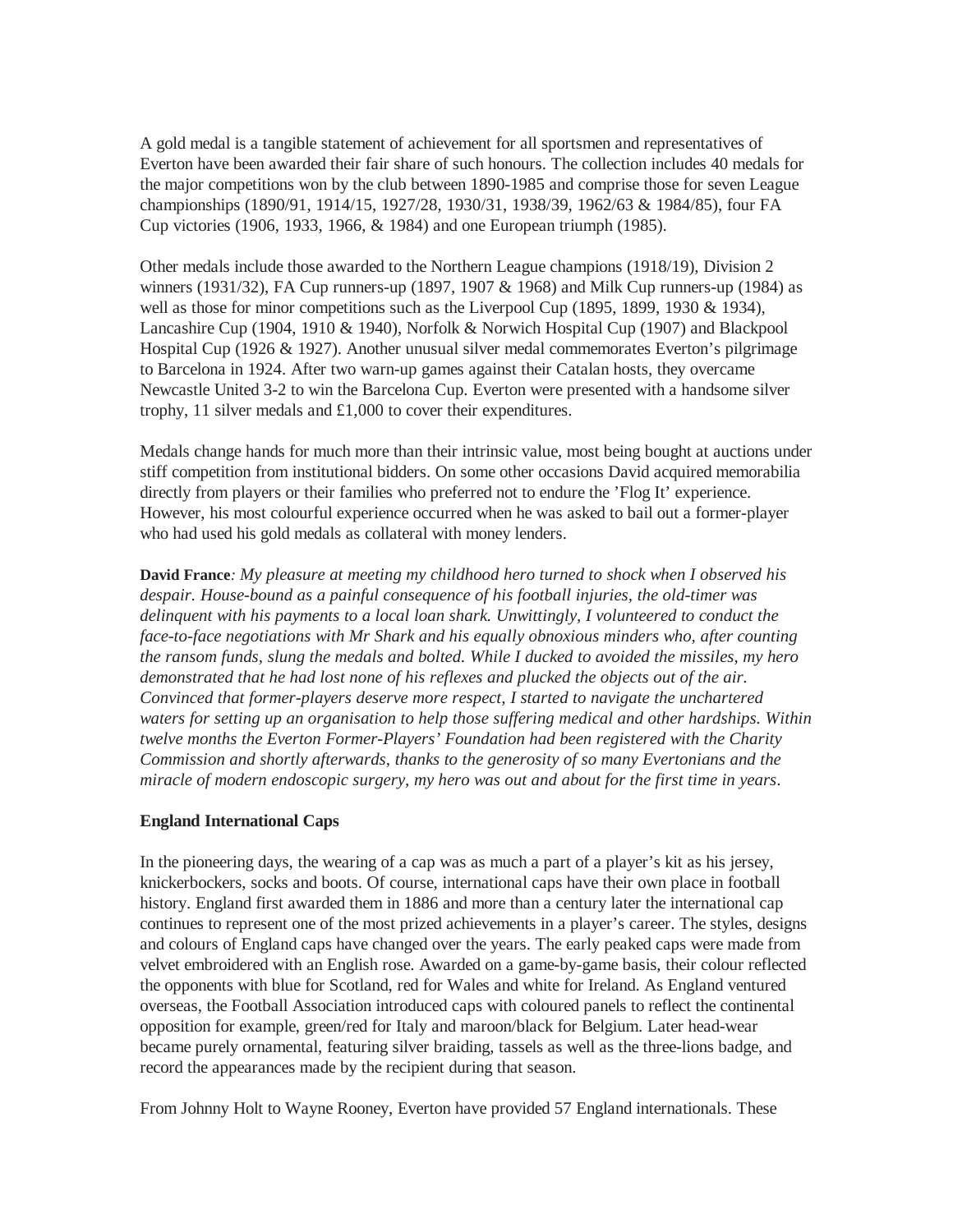A gold medal is a tangible statement of achievement for all sportsmen and representatives of Everton have been awarded their fair share of such honours. The collection includes 40 medals for the major competitions won by the club between 1890-1985 and comprise those for seven League championships (1890/91, 1914/15, 1927/28, 1930/31, 1938/39, 1962/63 & 1984/85), four FA Cup victories (1906, 1933, 1966, & 1984) and one European triumph (1985).

Other medals include those awarded to the Northern League champions (1918/19), Division 2 winners (1931/32), FA Cup runners-up (1897, 1907 & 1968) and Milk Cup runners-up (1984) as well as those for minor competitions such as the Liverpool Cup (1895, 1899, 1930 & 1934), Lancashire Cup (1904, 1910 & 1940), Norfolk & Norwich Hospital Cup (1907) and Blackpool Hospital Cup (1926 & 1927). Another unusual silver medal commemorates Everton's pilgrimage to Barcelona in 1924. After two warn-up games against their Catalan hosts, they overcame Newcastle United 3-2 to win the Barcelona Cup. Everton were presented with a handsome silver trophy, 11 silver medals and £1,000 to cover their expenditures.

Medals change hands for much more than their intrinsic value, most being bought at auctions under stiff competition from institutional bidders. On some other occasions David acquired memorabilia directly from players or their families who preferred not to endure the 'Flog It' experience. However, his most colourful experience occurred when he was asked to bail out a former-player who had used his gold medals as collateral with money lenders.

**David France***: My pleasure at meeting my childhood hero turned to shock when I observed his despair. House-bound as a painful consequence of his football injuries, the old-timer was delinquent with his payments to a local loan shark. Unwittingly, I volunteered to conduct the face-to-face negotiations with Mr Shark and his equally obnoxious minders who, after counting the ransom funds, slung the medals and bolted. While I ducked to avoided the missiles, my hero demonstrated that he had lost none of his reflexes and plucked the objects out of the air. Convinced that former-players deserve more respect, I started to navigate the unchartered waters for setting up an organisation to help those suffering medical and other hardships. Within twelve months the Everton Former-Players' Foundation had been registered with the Charity Commission and shortly afterwards, thanks to the generosity of so many Evertonians and the miracle of modern endoscopic surgery, my hero was out and about for the first time in years*.

# **England International Caps**

In the pioneering days, the wearing of a cap was as much a part of a player's kit as his jersey, knickerbockers, socks and boots. Of course, international caps have their own place in football history. England first awarded them in 1886 and more than a century later the international cap continues to represent one of the most prized achievements in a player's career. The styles, designs and colours of England caps have changed over the years. The early peaked caps were made from velvet embroidered with an English rose. Awarded on a game-by-game basis, their colour reflected the opponents with blue for Scotland, red for Wales and white for Ireland. As England ventured overseas, the Football Association introduced caps with coloured panels to reflect the continental opposition for example, green/red for Italy and maroon/black for Belgium. Later head-wear became purely ornamental, featuring silver braiding, tassels as well as the three-lions badge, and record the appearances made by the recipient during that season.

From Johnny Holt to Wayne Rooney, Everton have provided 57 England internationals. These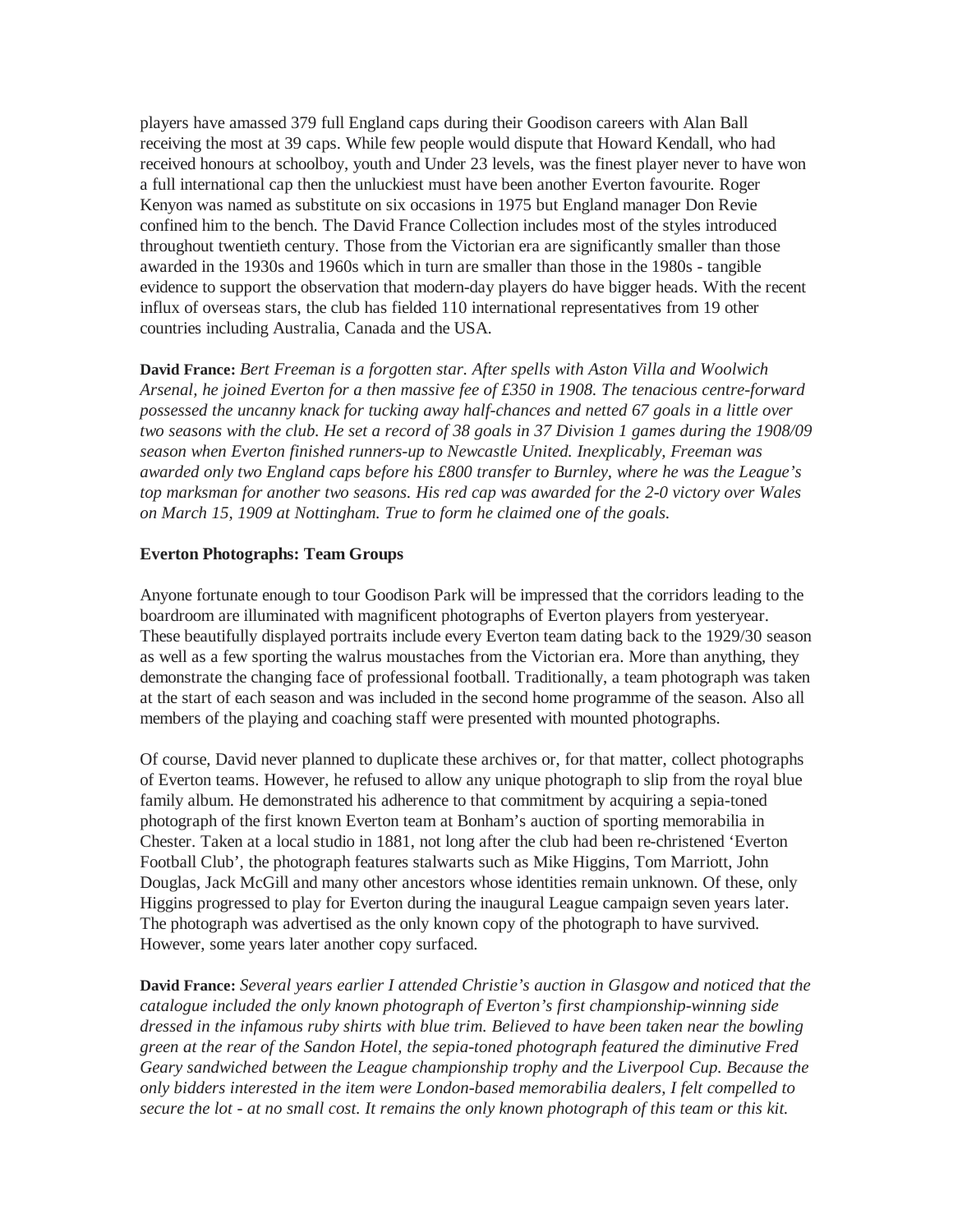players have amassed 379 full England caps during their Goodison careers with Alan Ball receiving the most at 39 caps. While few people would dispute that Howard Kendall, who had received honours at schoolboy, youth and Under 23 levels, was the finest player never to have won a full international cap then the unluckiest must have been another Everton favourite. Roger Kenyon was named as substitute on six occasions in 1975 but England manager Don Revie confined him to the bench. The David France Collection includes most of the styles introduced throughout twentieth century. Those from the Victorian era are significantly smaller than those awarded in the 1930s and 1960s which in turn are smaller than those in the 1980s - tangible evidence to support the observation that modern-day players do have bigger heads. With the recent influx of overseas stars, the club has fielded 110 international representatives from 19 other countries including Australia, Canada and the USA.

**David France:** *Bert Freeman is a forgotten star. After spells with Aston Villa and Woolwich Arsenal, he joined Everton for a then massive fee of £350 in 1908. The tenacious centre-forward possessed the uncanny knack for tucking away half-chances and netted 67 goals in a little over two seasons with the club. He set a record of 38 goals in 37 Division 1 games during the 1908/09 season when Everton finished runners-up to Newcastle United. Inexplicably, Freeman was awarded only two England caps before his £800 transfer to Burnley, where he was the League's top marksman for another two seasons. His red cap was awarded for the 2-0 victory over Wales on March 15, 1909 at Nottingham. True to form he claimed one of the goals.*

#### **Everton Photographs: Team Groups**

Anyone fortunate enough to tour Goodison Park will be impressed that the corridors leading to the boardroom are illuminated with magnificent photographs of Everton players from yesteryear. These beautifully displayed portraits include every Everton team dating back to the 1929/30 season as well as a few sporting the walrus moustaches from the Victorian era. More than anything, they demonstrate the changing face of professional football. Traditionally, a team photograph was taken at the start of each season and was included in the second home programme of the season. Also all members of the playing and coaching staff were presented with mounted photographs.

Of course, David never planned to duplicate these archives or, for that matter, collect photographs of Everton teams. However, he refused to allow any unique photograph to slip from the royal blue family album. He demonstrated his adherence to that commitment by acquiring a sepia-toned photograph of the first known Everton team at Bonham's auction of sporting memorabilia in Chester. Taken at a local studio in 1881, not long after the club had been re-christened 'Everton Football Club', the photograph features stalwarts such as Mike Higgins, Tom Marriott, John Douglas, Jack McGill and many other ancestors whose identities remain unknown. Of these, only Higgins progressed to play for Everton during the inaugural League campaign seven years later. The photograph was advertised as the only known copy of the photograph to have survived. However, some years later another copy surfaced.

**David France:** *Several years earlier I attended Christie's auction in Glasgow and noticed that the catalogue included the only known photograph of Everton's first championship-winning side dressed in the infamous ruby shirts with blue trim. Believed to have been taken near the bowling green at the rear of the Sandon Hotel, the sepia-toned photograph featured the diminutive Fred Geary sandwiched between the League championship trophy and the Liverpool Cup. Because the only bidders interested in the item were London-based memorabilia dealers, I felt compelled to secure the lot - at no small cost. It remains the only known photograph of this team or this kit.*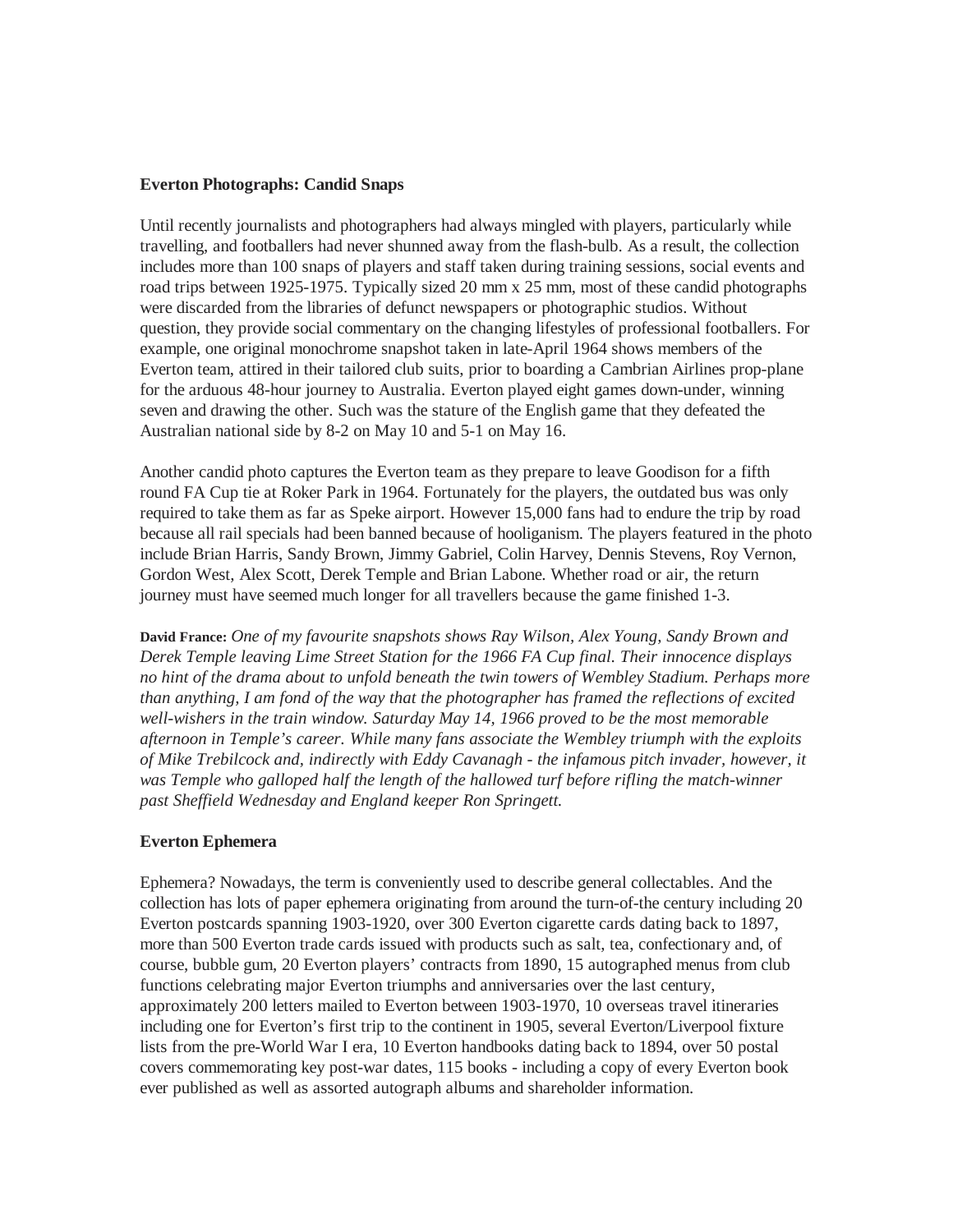# **Everton Photographs: Candid Snaps**

Until recently journalists and photographers had always mingled with players, particularly while travelling, and footballers had never shunned away from the flash-bulb. As a result, the collection includes more than 100 snaps of players and staff taken during training sessions, social events and road trips between 1925-1975. Typically sized 20 mm x 25 mm, most of these candid photographs were discarded from the libraries of defunct newspapers or photographic studios. Without question, they provide social commentary on the changing lifestyles of professional footballers. For example, one original monochrome snapshot taken in late-April 1964 shows members of the Everton team, attired in their tailored club suits, prior to boarding a Cambrian Airlines prop-plane for the arduous 48-hour journey to Australia. Everton played eight games down-under, winning seven and drawing the other. Such was the stature of the English game that they defeated the Australian national side by 8-2 on May 10 and 5-1 on May 16.

Another candid photo captures the Everton team as they prepare to leave Goodison for a fifth round FA Cup tie at Roker Park in 1964. Fortunately for the players, the outdated bus was only required to take them as far as Speke airport. However 15,000 fans had to endure the trip by road because all rail specials had been banned because of hooliganism. The players featured in the photo include Brian Harris, Sandy Brown, Jimmy Gabriel, Colin Harvey, Dennis Stevens, Roy Vernon, Gordon West, Alex Scott, Derek Temple and Brian Labone. Whether road or air, the return journey must have seemed much longer for all travellers because the game finished 1-3.

**David France:** *One of my favourite snapshots shows Ray Wilson, Alex Young, Sandy Brown and Derek Temple leaving Lime Street Station for the 1966 FA Cup final. Their innocence displays no hint of the drama about to unfold beneath the twin towers of Wembley Stadium. Perhaps more than anything, I am fond of the way that the photographer has framed the reflections of excited well-wishers in the train window. Saturday May 14, 1966 proved to be the most memorable afternoon in Temple's career. While many fans associate the Wembley triumph with the exploits of Mike Trebilcock and, indirectly with Eddy Cavanagh - the infamous pitch invader, however, it*  was Temple who galloped half the length of the hallowed turf before rifling the match-winner *past Sheffield Wednesday and England keeper Ron Springett.* 

#### **Everton Ephemera**

Ephemera? Nowadays, the term is conveniently used to describe general collectables. And the collection has lots of paper ephemera originating from around the turn-of-the century including 20 Everton postcards spanning 1903-1920, over 300 Everton cigarette cards dating back to 1897, more than 500 Everton trade cards issued with products such as salt, tea, confectionary and, of course, bubble gum, 20 Everton players' contracts from 1890, 15 autographed menus from club functions celebrating major Everton triumphs and anniversaries over the last century, approximately 200 letters mailed to Everton between 1903-1970, 10 overseas travel itineraries including one for Everton's first trip to the continent in 1905, several Everton/Liverpool fixture lists from the pre-World War I era, 10 Everton handbooks dating back to 1894, over 50 postal covers commemorating key post-war dates, 115 books - including a copy of every Everton book ever published as well as assorted autograph albums and shareholder information.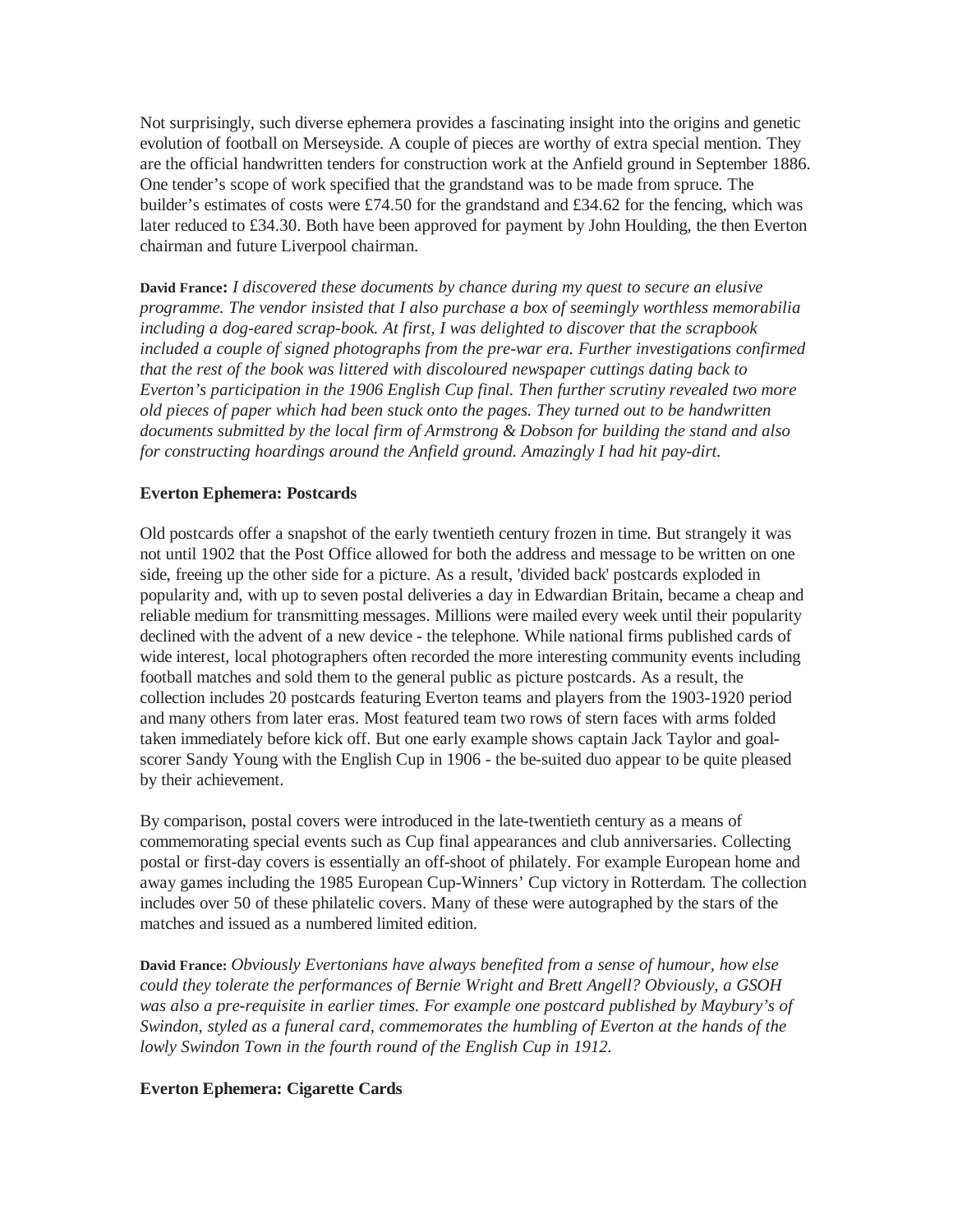Not surprisingly, such diverse ephemera provides a fascinating insight into the origins and genetic evolution of football on Merseyside. A couple of pieces are worthy of extra special mention. They are the official handwritten tenders for construction work at the Anfield ground in September 1886. One tender's scope of work specified that the grandstand was to be made from spruce. The builder's estimates of costs were £74.50 for the grandstand and £34.62 for the fencing, which was later reduced to £34.30. Both have been approved for payment by John Houlding, the then Everton chairman and future Liverpool chairman.

**David France:** *I discovered these documents by chance during my quest to secure an elusive programme. The vendor insisted that I also purchase a box of seemingly worthless memorabilia including a dog-eared scrap-book. At first, I was delighted to discover that the scrapbook included a couple of signed photographs from the pre-war era. Further investigations confirmed that the rest of the book was littered with discoloured newspaper cuttings dating back to Everton's participation in the 1906 English Cup final. Then further scrutiny revealed two more old pieces of paper which had been stuck onto the pages. They turned out to be handwritten documents submitted by the local firm of Armstrong & Dobson for building the stand and also for constructing hoardings around the Anfield ground. Amazingly I had hit pay-dirt.* 

#### **Everton Ephemera: Postcards**

Old postcards offer a snapshot of the early twentieth century frozen in time. But strangely it was not until 1902 that the Post Office allowed for both the address and message to be written on one side, freeing up the other side for a picture. As a result, 'divided back' postcards exploded in popularity and, with up to seven postal deliveries a day in Edwardian Britain, became a cheap and reliable medium for transmitting messages. Millions were mailed every week until their popularity declined with the advent of a new device - the telephone. While national firms published cards of wide interest, local photographers often recorded the more interesting community events including football matches and sold them to the general public as picture postcards. As a result, the collection includes 20 postcards featuring Everton teams and players from the 1903-1920 period and many others from later eras. Most featured team two rows of stern faces with arms folded taken immediately before kick off. But one early example shows captain Jack Taylor and goalscorer Sandy Young with the English Cup in 1906 - the be-suited duo appear to be quite pleased by their achievement.

By comparison, postal covers were introduced in the late-twentieth century as a means of commemorating special events such as Cup final appearances and club anniversaries. Collecting postal or first-day covers is essentially an off-shoot of philately. For example European home and away games including the 1985 European Cup-Winners' Cup victory in Rotterdam. The collection includes over 50 of these philatelic covers. Many of these were autographed by the stars of the matches and issued as a numbered limited edition.

**David France:** *Obviously Evertonians have always benefited from a sense of humour, how else could they tolerate the performances of Bernie Wright and Brett Angell? Obviously, a GSOH was also a pre-requisite in earlier times. For example one postcard published by Maybury's of Swindon, styled as a funeral card, commemorates the humbling of Everton at the hands of the lowly Swindon Town in the fourth round of the English Cup in 1912.* 

#### **Everton Ephemera: Cigarette Cards**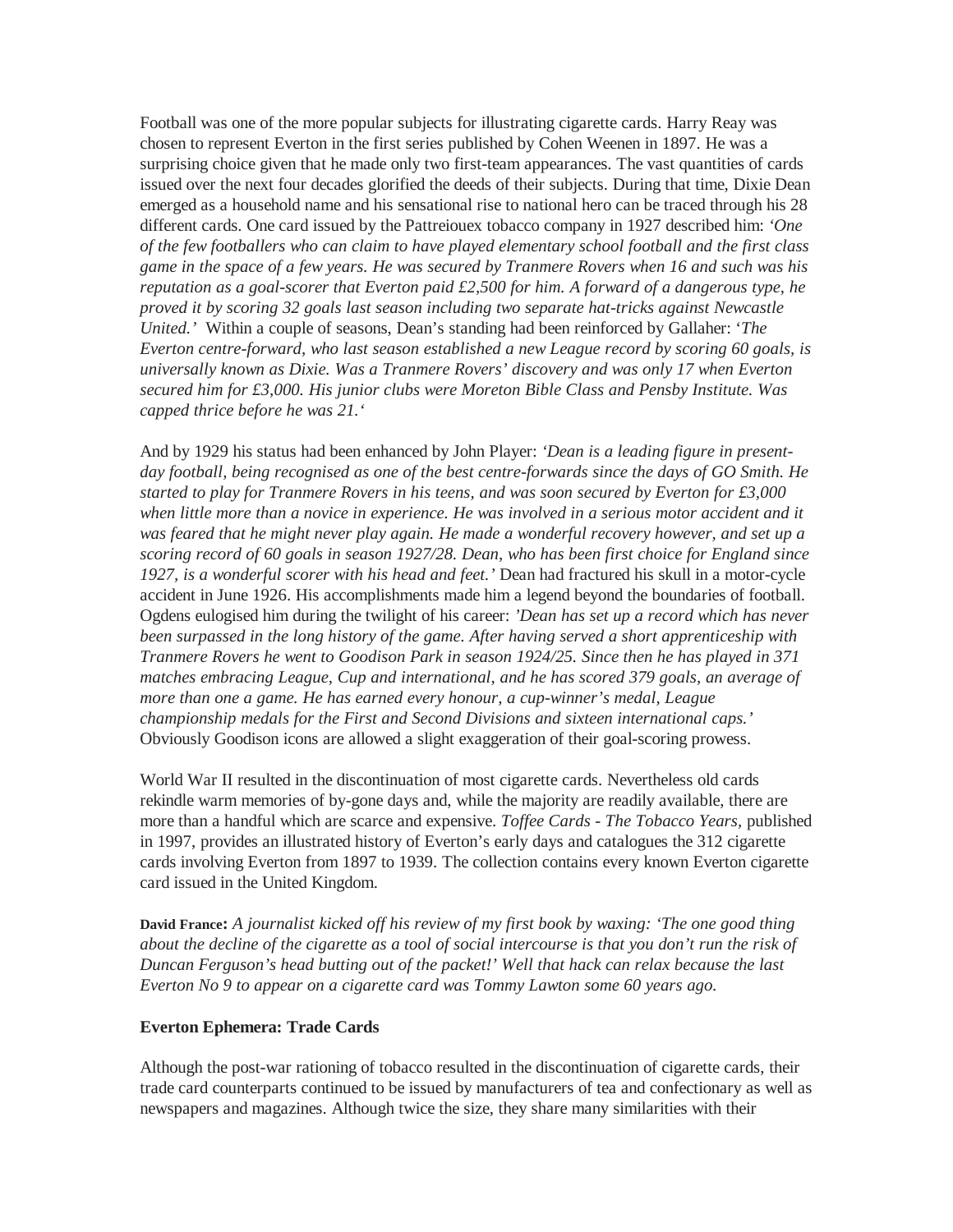Football was one of the more popular subjects for illustrating cigarette cards. Harry Reay was chosen to represent Everton in the first series published by Cohen Weenen in 1897. He was a surprising choice given that he made only two first-team appearances. The vast quantities of cards issued over the next four decades glorified the deeds of their subjects. During that time, Dixie Dean emerged as a household name and his sensational rise to national hero can be traced through his 28 different cards. One card issued by the Pattreiouex tobacco company in 1927 described him: *'One of the few footballers who can claim to have played elementary school football and the first class game in the space of a few years. He was secured by Tranmere Rovers when 16 and such was his reputation as a goal-scorer that Everton paid £2,500 for him. A forward of a dangerous type, he proved it by scoring 32 goals last season including two separate hat-tricks against Newcastle United.'* Within a couple of seasons, Dean's standing had been reinforced by Gallaher: '*The Everton centre-forward, who last season established a new League record by scoring 60 goals, is universally known as Dixie. Was a Tranmere Rovers' discovery and was only 17 when Everton secured him for £3,000. His junior clubs were Moreton Bible Class and Pensby Institute. Was capped thrice before he was 21.'* 

And by 1929 his status had been enhanced by John Player: *'Dean is a leading figure in presentday football, being recognised as one of the best centre-forwards since the days of GO Smith. He started to play for Tranmere Rovers in his teens, and was soon secured by Everton for £3,000 when little more than a novice in experience. He was involved in a serious motor accident and it was feared that he might never play again. He made a wonderful recovery however, and set up a scoring record of 60 goals in season 1927/28. Dean, who has been first choice for England since 1927, is a wonderful scorer with his head and feet.'* Dean had fractured his skull in a motor-cycle accident in June 1926. His accomplishments made him a legend beyond the boundaries of football. Ogdens eulogised him during the twilight of his career: *'Dean has set up a record which has never been surpassed in the long history of the game. After having served a short apprenticeship with Tranmere Rovers he went to Goodison Park in season 1924/25. Since then he has played in 371 matches embracing League, Cup and international, and he has scored 379 goals, an average of more than one a game. He has earned every honour, a cup-winner's medal, League championship medals for the First and Second Divisions and sixteen international caps.'* Obviously Goodison icons are allowed a slight exaggeration of their goal-scoring prowess.

World War II resulted in the discontinuation of most cigarette cards. Nevertheless old cards rekindle warm memories of by-gone days and, while the majority are readily available, there are more than a handful which are scarce and expensive. *Toffee Cards - The Tobacco Years,* published in 1997, provides an illustrated history of Everton's early days and catalogues the 312 cigarette cards involving Everton from 1897 to 1939. The collection contains every known Everton cigarette card issued in the United Kingdom.

**David France:** *A journalist kicked off his review of my first book by waxing: 'The one good thing about the decline of the cigarette as a tool of social intercourse is that you don't run the risk of Duncan Ferguson's head butting out of the packet!' Well that hack can relax because the last Everton No 9 to appear on a cigarette card was Tommy Lawton some 60 years ago.* 

# **Everton Ephemera: Trade Cards**

Although the post-war rationing of tobacco resulted in the discontinuation of cigarette cards, their trade card counterparts continued to be issued by manufacturers of tea and confectionary as well as newspapers and magazines. Although twice the size, they share many similarities with their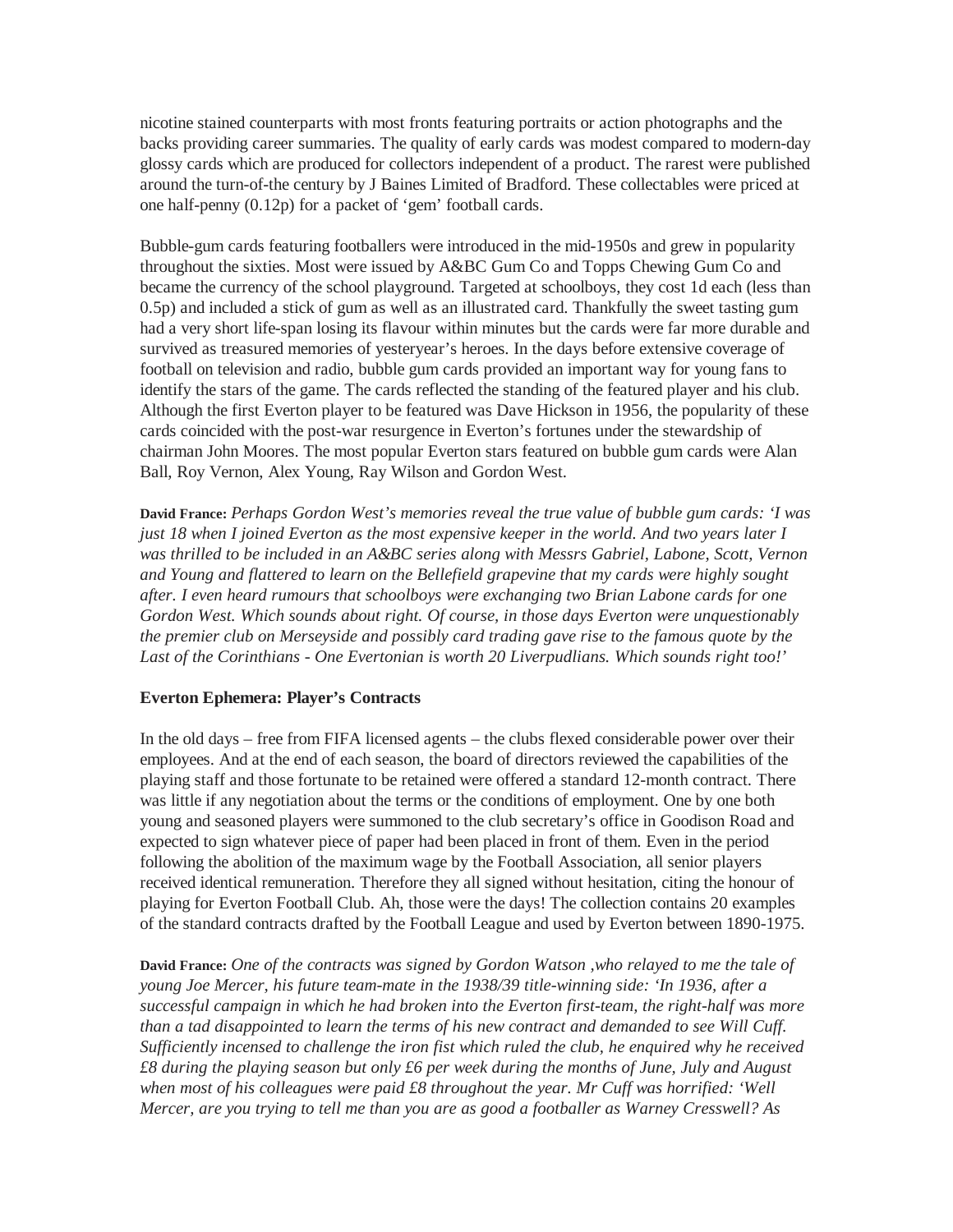nicotine stained counterparts with most fronts featuring portraits or action photographs and the backs providing career summaries. The quality of early cards was modest compared to modern-day glossy cards which are produced for collectors independent of a product. The rarest were published around the turn-of-the century by J Baines Limited of Bradford. These collectables were priced at one half-penny (0.12p) for a packet of 'gem' football cards.

Bubble-gum cards featuring footballers were introduced in the mid-1950s and grew in popularity throughout the sixties. Most were issued by A&BC Gum Co and Topps Chewing Gum Co and became the currency of the school playground. Targeted at schoolboys, they cost 1d each (less than 0.5p) and included a stick of gum as well as an illustrated card. Thankfully the sweet tasting gum had a very short life-span losing its flavour within minutes but the cards were far more durable and survived as treasured memories of yesteryear's heroes. In the days before extensive coverage of football on television and radio, bubble gum cards provided an important way for young fans to identify the stars of the game. The cards reflected the standing of the featured player and his club. Although the first Everton player to be featured was Dave Hickson in 1956, the popularity of these cards coincided with the post-war resurgence in Everton's fortunes under the stewardship of chairman John Moores. The most popular Everton stars featured on bubble gum cards were Alan Ball, Roy Vernon, Alex Young, Ray Wilson and Gordon West.

**David France:** *Perhaps Gordon West's memories reveal the true value of bubble gum cards: 'I was just 18 when I joined Everton as the most expensive keeper in the world. And two years later I was thrilled to be included in an A&BC series along with Messrs Gabriel, Labone, Scott, Vernon and Young and flattered to learn on the Bellefield grapevine that my cards were highly sought after. I even heard rumours that schoolboys were exchanging two Brian Labone cards for one Gordon West. Which sounds about right. Of course, in those days Everton were unquestionably the premier club on Merseyside and possibly card trading gave rise to the famous quote by the Last of the Corinthians - One Evertonian is worth 20 Liverpudlians. Which sounds right too!'*

# **Everton Ephemera: Player's Contracts**

In the old days – free from FIFA licensed agents – the clubs flexed considerable power over their employees. And at the end of each season, the board of directors reviewed the capabilities of the playing staff and those fortunate to be retained were offered a standard 12-month contract. There was little if any negotiation about the terms or the conditions of employment. One by one both young and seasoned players were summoned to the club secretary's office in Goodison Road and expected to sign whatever piece of paper had been placed in front of them. Even in the period following the abolition of the maximum wage by the Football Association, all senior players received identical remuneration. Therefore they all signed without hesitation, citing the honour of playing for Everton Football Club. Ah, those were the days! The collection contains 20 examples of the standard contracts drafted by the Football League and used by Everton between 1890-1975.

**David France:** *One of the contracts was signed by Gordon Watson ,who relayed to me the tale of young Joe Mercer, his future team-mate in the 1938/39 title-winning side: 'In 1936, after a successful campaign in which he had broken into the Everton first-team, the right-half was more than a tad disappointed to learn the terms of his new contract and demanded to see Will Cuff. Sufficiently incensed to challenge the iron fist which ruled the club, he enquired why he received £8 during the playing season but only £6 per week during the months of June, July and August when most of his colleagues were paid £8 throughout the year. Mr Cuff was horrified: 'Well Mercer, are you trying to tell me than you are as good a footballer as Warney Cresswell? As*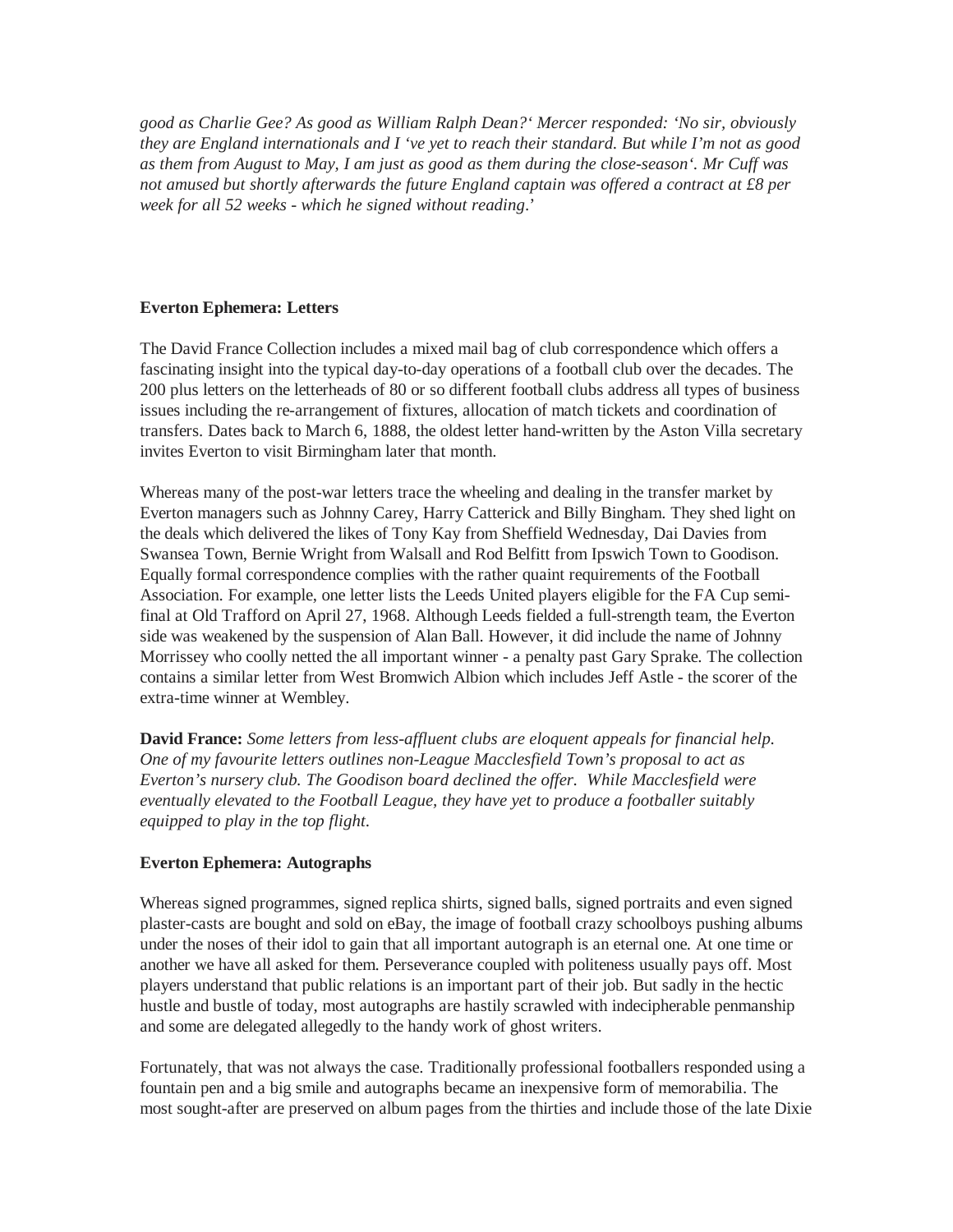*good as Charlie Gee? As good as William Ralph Dean?' Mercer responded: 'No sir, obviously they are England internationals and I 've yet to reach their standard. But while I'm not as good as them from August to May, I am just as good as them during the close-season'. Mr Cuff was not amused but shortly afterwards the future England captain was offered a contract at £8 per week for all 52 weeks - which he signed without reading*.'

# **Everton Ephemera: Letters**

The David France Collection includes a mixed mail bag of club correspondence which offers a fascinating insight into the typical day-to-day operations of a football club over the decades. The 200 plus letters on the letterheads of 80 or so different football clubs address all types of business issues including the re-arrangement of fixtures, allocation of match tickets and coordination of transfers. Dates back to March 6, 1888, the oldest letter hand-written by the Aston Villa secretary invites Everton to visit Birmingham later that month.

Whereas many of the post-war letters trace the wheeling and dealing in the transfer market by Everton managers such as Johnny Carey, Harry Catterick and Billy Bingham. They shed light on the deals which delivered the likes of Tony Kay from Sheffield Wednesday, Dai Davies from Swansea Town, Bernie Wright from Walsall and Rod Belfitt from Ipswich Town to Goodison. Equally formal correspondence complies with the rather quaint requirements of the Football Association. For example, one letter lists the Leeds United players eligible for the FA Cup semifinal at Old Trafford on April 27, 1968. Although Leeds fielded a full-strength team, the Everton side was weakened by the suspension of Alan Ball. However, it did include the name of Johnny Morrissey who coolly netted the all important winner - a penalty past Gary Sprake. The collection contains a similar letter from West Bromwich Albion which includes Jeff Astle - the scorer of the extra-time winner at Wembley.

**David France:** *Some letters from less-affluent clubs are eloquent appeals for financial help. One of my favourite letters outlines non-League Macclesfield Town's proposal to act as Everton's nursery club. The Goodison board declined the offer. While Macclesfield were eventually elevated to the Football League, they have yet to produce a footballer suitably equipped to play in the top flight*.

# **Everton Ephemera: Autographs**

Whereas signed programmes, signed replica shirts, signed balls, signed portraits and even signed plaster-casts are bought and sold on eBay, the image of football crazy schoolboys pushing albums under the noses of their idol to gain that all important autograph is an eternal one*.* At one time or another we have all asked for them. Perseverance coupled with politeness usually pays off. Most players understand that public relations is an important part of their job. But sadly in the hectic hustle and bustle of today, most autographs are hastily scrawled with indecipherable penmanship and some are delegated allegedly to the handy work of ghost writers.

Fortunately, that was not always the case. Traditionally professional footballers responded using a fountain pen and a big smile and autographs became an inexpensive form of memorabilia. The most sought-after are preserved on album pages from the thirties and include those of the late Dixie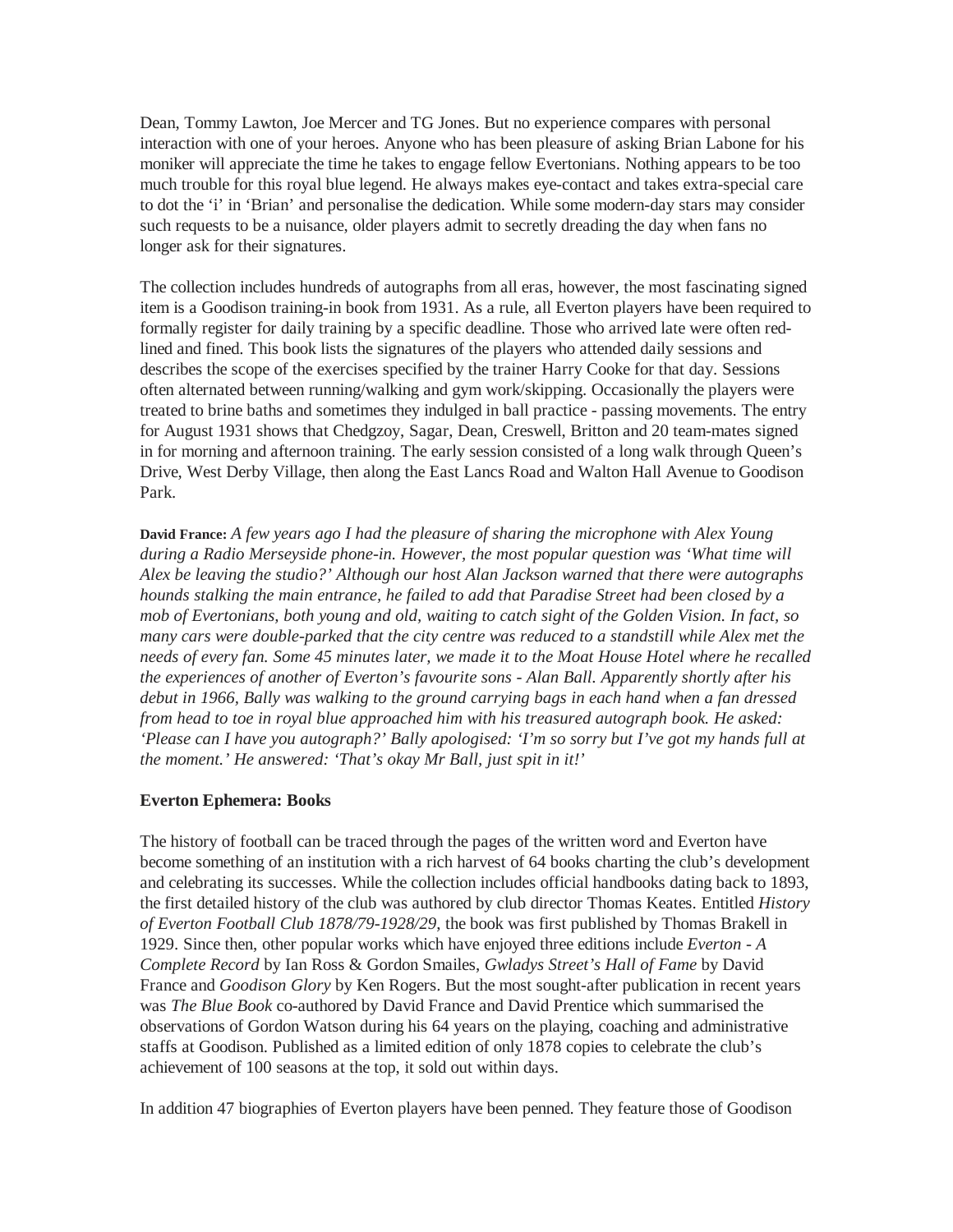Dean, Tommy Lawton, Joe Mercer and TG Jones. But no experience compares with personal interaction with one of your heroes. Anyone who has been pleasure of asking Brian Labone for his moniker will appreciate the time he takes to engage fellow Evertonians. Nothing appears to be too much trouble for this royal blue legend. He always makes eye-contact and takes extra-special care to dot the 'i' in 'Brian' and personalise the dedication. While some modern-day stars may consider such requests to be a nuisance, older players admit to secretly dreading the day when fans no longer ask for their signatures.

The collection includes hundreds of autographs from all eras, however, the most fascinating signed item is a Goodison training-in book from 1931. As a rule, all Everton players have been required to formally register for daily training by a specific deadline. Those who arrived late were often redlined and fined. This book lists the signatures of the players who attended daily sessions and describes the scope of the exercises specified by the trainer Harry Cooke for that day. Sessions often alternated between running/walking and gym work/skipping. Occasionally the players were treated to brine baths and sometimes they indulged in ball practice - passing movements. The entry for August 1931 shows that Chedgzoy, Sagar, Dean, Creswell, Britton and 20 team-mates signed in for morning and afternoon training. The early session consisted of a long walk through Queen's Drive, West Derby Village, then along the East Lancs Road and Walton Hall Avenue to Goodison Park.

**David France:** *A few years ago I had the pleasure of sharing the microphone with Alex Young during a Radio Merseyside phone-in. However, the most popular question was 'What time will Alex be leaving the studio?' Although our host Alan Jackson warned that there were autographs hounds stalking the main entrance, he failed to add that Paradise Street had been closed by a mob of Evertonians, both young and old, waiting to catch sight of the Golden Vision. In fact, so many cars were double-parked that the city centre was reduced to a standstill while Alex met the needs of every fan. Some 45 minutes later, we made it to the Moat House Hotel where he recalled the experiences of another of Everton's favourite sons - Alan Ball. Apparently shortly after his debut in 1966, Bally was walking to the ground carrying bags in each hand when a fan dressed from head to toe in royal blue approached him with his treasured autograph book. He asked: 'Please can I have you autograph?' Bally apologised: 'I'm so sorry but I've got my hands full at the moment.' He answered: 'That's okay Mr Ball, just spit in it!'*

# **Everton Ephemera: Books**

The history of football can be traced through the pages of the written word and Everton have become something of an institution with a rich harvest of 64 books charting the club's development and celebrating its successes. While the collection includes official handbooks dating back to 1893, the first detailed history of the club was authored by club director Thomas Keates. Entitled *History of Everton Football Club 1878/79-1928/29*, the book was first published by Thomas Brakell in 1929. Since then, other popular works which have enjoyed three editions include *Everton - A Complete Record* by Ian Ross & Gordon Smailes, *Gwladys Street's Hall of Fame* by David France and *Goodison Glory* by Ken Rogers. But the most sought-after publication in recent years was *The Blue Book* co-authored by David France and David Prentice which summarised the observations of Gordon Watson during his 64 years on the playing, coaching and administrative staffs at Goodison. Published as a limited edition of only 1878 copies to celebrate the club's achievement of 100 seasons at the top, it sold out within days.

In addition 47 biographies of Everton players have been penned. They feature those of Goodison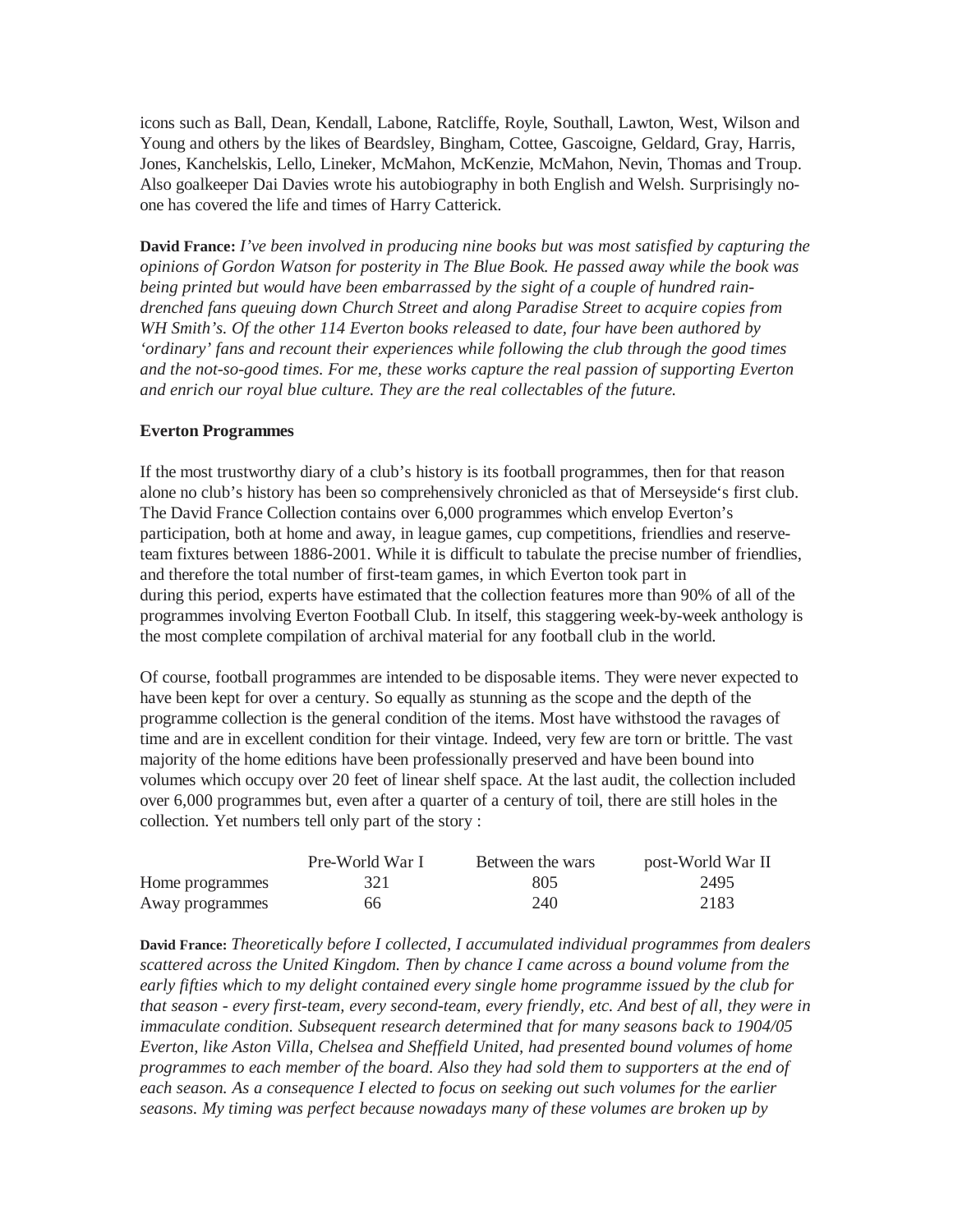icons such as Ball, Dean, Kendall, Labone, Ratcliffe, Royle, Southall, Lawton, West, Wilson and Young and others by the likes of Beardsley, Bingham, Cottee, Gascoigne, Geldard, Gray, Harris, Jones, Kanchelskis, Lello, Lineker, McMahon, McKenzie, McMahon, Nevin, Thomas and Troup. Also goalkeeper Dai Davies wrote his autobiography in both English and Welsh. Surprisingly noone has covered the life and times of Harry Catterick.

**David France:** *I've been involved in producing nine books but was most satisfied by capturing the opinions of Gordon Watson for posterity in The Blue Book. He passed away while the book was being printed but would have been embarrassed by the sight of a couple of hundred raindrenched fans queuing down Church Street and along Paradise Street to acquire copies from WH Smith's. Of the other 114 Everton books released to date, four have been authored by 'ordinary' fans and recount their experiences while following the club through the good times and the not-so-good times. For me, these works capture the real passion of supporting Everton and enrich our royal blue culture. They are the real collectables of the future.*

#### **Everton Programmes**

If the most trustworthy diary of a club's history is its football programmes, then for that reason alone no club's history has been so comprehensively chronicled as that of Merseyside's first club. The David France Collection contains over 6,000 programmes which envelop Everton's participation, both at home and away, in league games, cup competitions, friendlies and reserveteam fixtures between 1886-2001. While it is difficult to tabulate the precise number of friendlies, and therefore the total number of first-team games, in which Everton took part in during this period, experts have estimated that the collection features more than 90% of all of the programmes involving Everton Football Club. In itself, this staggering week-by-week anthology is the most complete compilation of archival material for any football club in the world.

Of course, football programmes are intended to be disposable items. They were never expected to have been kept for over a century. So equally as stunning as the scope and the depth of the programme collection is the general condition of the items. Most have withstood the ravages of time and are in excellent condition for their vintage. Indeed, very few are torn or brittle. The vast majority of the home editions have been professionally preserved and have been bound into volumes which occupy over 20 feet of linear shelf space. At the last audit, the collection included over 6,000 programmes but, even after a quarter of a century of toil, there are still holes in the collection. Yet numbers tell only part of the story :

|                 | Pre-World War I | Between the wars | post-World War II |
|-----------------|-----------------|------------------|-------------------|
| Home programmes | 321             | 805              | 2495              |
| Away programmes | 66.             | 240              | 2183              |

**David France:** *Theoretically before I collected, I accumulated individual programmes from dealers scattered across the United Kingdom. Then by chance I came across a bound volume from the early fifties which to my delight contained every single home programme issued by the club for that season - every first-team, every second-team, every friendly, etc. And best of all, they were in immaculate condition. Subsequent research determined that for many seasons back to 1904/05 Everton, like Aston Villa, Chelsea and Sheffield United, had presented bound volumes of home programmes to each member of the board. Also they had sold them to supporters at the end of each season. As a consequence I elected to focus on seeking out such volumes for the earlier seasons. My timing was perfect because nowadays many of these volumes are broken up by*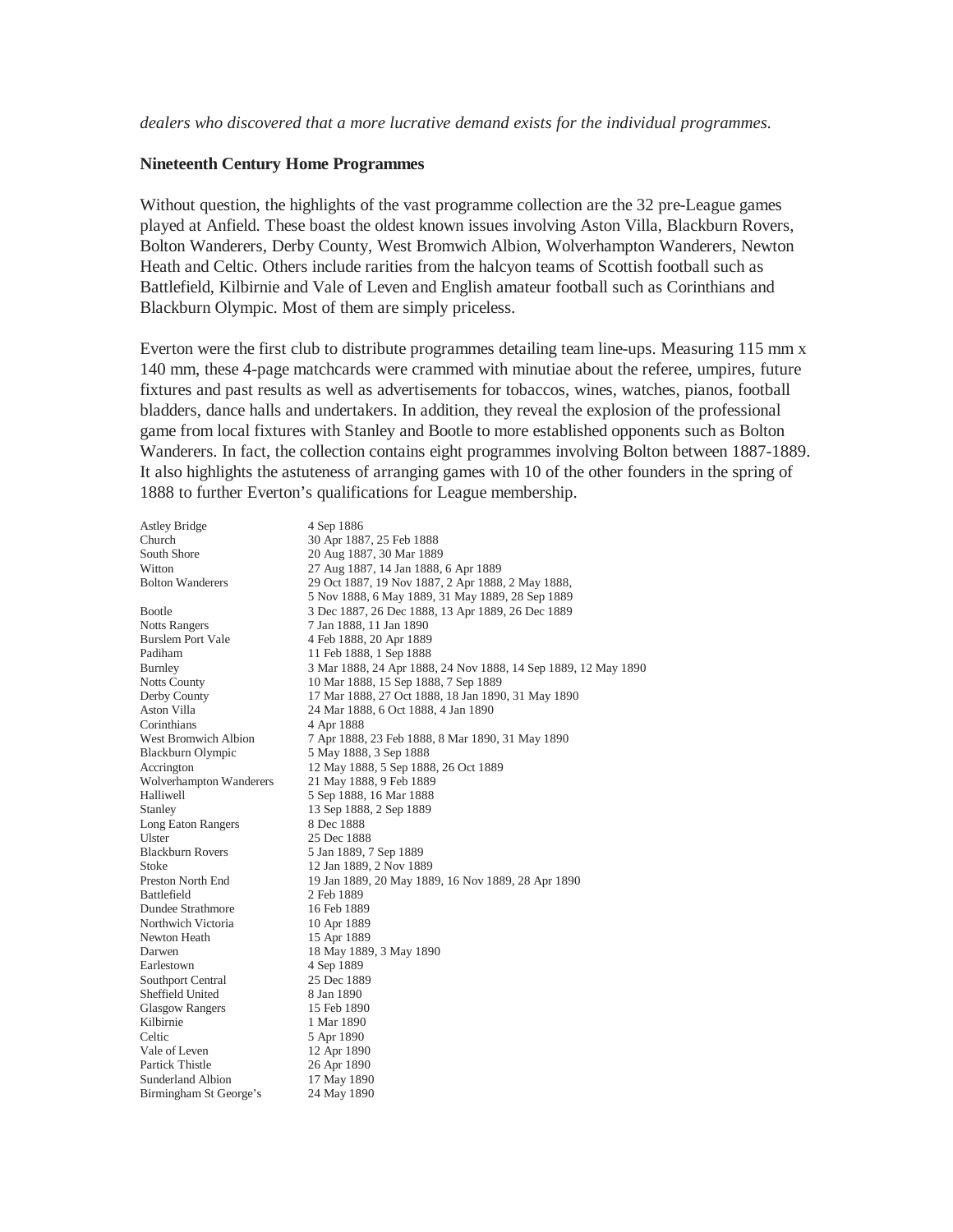#### **Nineteenth Century Home Programmes**

Without question, the highlights of the vast programme collection are the 32 pre-League games played at Anfield. These boast the oldest known issues involving Aston Villa, Blackburn Rovers, Bolton Wanderers, Derby County, West Bromwich Albion, Wolverhampton Wanderers, Newton Heath and Celtic. Others include rarities from the halcyon teams of Scottish football such as Battlefield, Kilbirnie and Vale of Leven and English amateur football such as Corinthians and Blackburn Olympic. Most of them are simply priceless.

Everton were the first club to distribute programmes detailing team line-ups. Measuring 115 mm x 140 mm, these 4-page matchcards were crammed with minutiae about the referee, umpires, future fixtures and past results as well as advertisements for tobaccos, wines, watches, pianos, football bladders, dance halls and undertakers. In addition, they reveal the explosion of the professional game from local fixtures with Stanley and Bootle to more established opponents such as Bolton Wanderers. In fact, the collection contains eight programmes involving Bolton between 1887-1889. It also highlights the astuteness of arranging games with 10 of the other founders in the spring of 1888 to further Everton's qualifications for League membership.

| <b>Astley Bridge</b>     | 4 Sep 1886                                                     |
|--------------------------|----------------------------------------------------------------|
| Church                   | 30 Apr 1887, 25 Feb 1888                                       |
| South Shore              | 20 Aug 1887, 30 Mar 1889                                       |
| Witton                   | 27 Aug 1887, 14 Jan 1888, 6 Apr 1889                           |
| <b>Bolton Wanderers</b>  | 29 Oct 1887, 19 Nov 1887, 2 Apr 1888, 2 May 1888,              |
|                          | 5 Nov 1888, 6 May 1889, 31 May 1889, 28 Sep 1889               |
| Bootle                   | 3 Dec 1887, 26 Dec 1888, 13 Apr 1889, 26 Dec 1889              |
| <b>Notts Rangers</b>     | 7 Jan 1888, 11 Jan 1890                                        |
| <b>Burslem Port Vale</b> | 4 Feb 1888, 20 Apr 1889                                        |
| Padiham                  | 11 Feb 1888, 1 Sep 1888                                        |
| Burnley                  | 3 Mar 1888, 24 Apr 1888, 24 Nov 1888, 14 Sep 1889, 12 May 1890 |
| <b>Notts County</b>      | 10 Mar 1888, 15 Sep 1888, 7 Sep 1889                           |
| Derby County             | 17 Mar 1888, 27 Oct 1888, 18 Jan 1890, 31 May 1890             |
| Aston Villa              | 24 Mar 1888, 6 Oct 1888, 4 Jan 1890                            |
| Corinthians              | 4 Apr 1888                                                     |
| West Bromwich Albion     | 7 Apr 1888, 23 Feb 1888, 8 Mar 1890, 31 May 1890               |
| Blackburn Olympic        | 5 May 1888, 3 Sep 1888                                         |
| Accrington               | 12 May 1888, 5 Sep 1888, 26 Oct 1889                           |
| Wolverhampton Wanderers  | 21 May 1888, 9 Feb 1889                                        |
| Halliwell                | 5 Sep 1888, 16 Mar 1888                                        |
| Stanley                  | 13 Sep 1888, 2 Sep 1889                                        |
| Long Eaton Rangers       | 8 Dec 1888                                                     |
| Ulster                   | 25 Dec 1888                                                    |
| <b>Blackburn Rovers</b>  | 5 Jan 1889, 7 Sep 1889                                         |
| <b>Stoke</b>             | 12 Jan 1889, 2 Nov 1889                                        |
| Preston North End        | 19 Jan 1889, 20 May 1889, 16 Nov 1889, 28 Apr 1890             |
| Battlefield              | 2 Feb 1889                                                     |
| Dundee Strathmore        | 16 Feb 1889                                                    |
| Northwich Victoria       | 10 Apr 1889                                                    |
| Newton Heath             | 15 Apr 1889                                                    |
| Darwen                   | 18 May 1889, 3 May 1890                                        |
| Earlestown               | 4 Sep 1889                                                     |
| Southport Central        | 25 Dec 1889                                                    |
| Sheffield United         | 8 Jan 1890                                                     |
| <b>Glasgow Rangers</b>   | 15 Feb 1890                                                    |
| Kilbirnie                | 1 Mar 1890                                                     |
| Celtic                   | 5 Apr 1890                                                     |
| Vale of Leven            | 12 Apr 1890                                                    |
| Partick Thistle          | 26 Apr 1890                                                    |
| Sunderland Albion        | 17 May 1890                                                    |
| Birmingham St George's   | 24 May 1890                                                    |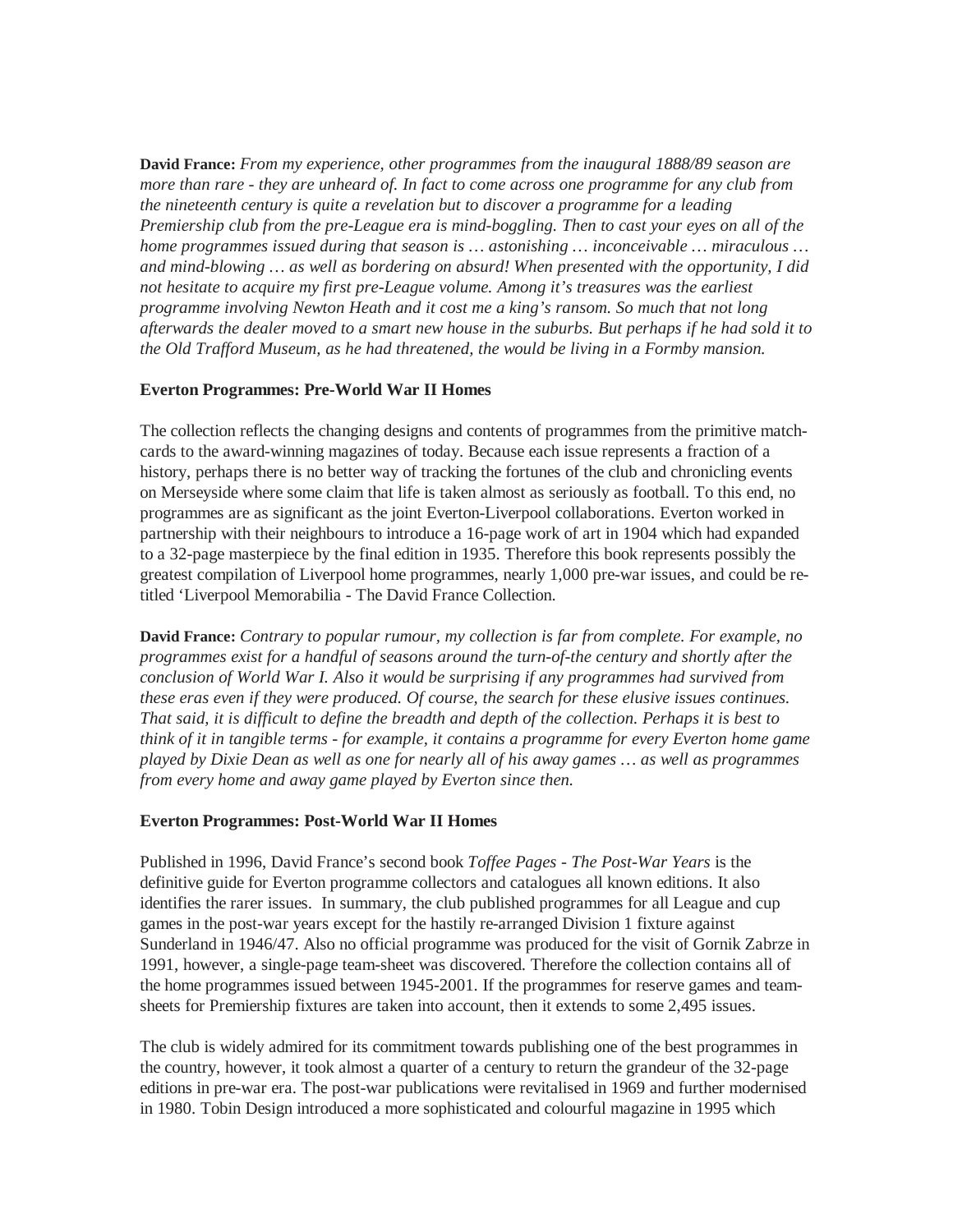**David France:** *From my experience, other programmes from the inaugural 1888/89 season are more than rare - they are unheard of. In fact to come across one programme for any club from the nineteenth century is quite a revelation but to discover a programme for a leading Premiership club from the pre-League era is mind-boggling. Then to cast your eyes on all of the home programmes issued during that season is … astonishing … inconceivable … miraculous … and mind-blowing … as well as bordering on absurd! When presented with the opportunity, I did not hesitate to acquire my first pre-League volume. Among it's treasures was the earliest programme involving Newton Heath and it cost me a king's ransom. So much that not long afterwards the dealer moved to a smart new house in the suburbs. But perhaps if he had sold it to the Old Trafford Museum, as he had threatened, the would be living in a Formby mansion.* 

# **Everton Programmes: Pre-World War II Homes**

The collection reflects the changing designs and contents of programmes from the primitive matchcards to the award-winning magazines of today. Because each issue represents a fraction of a history, perhaps there is no better way of tracking the fortunes of the club and chronicling events on Merseyside where some claim that life is taken almost as seriously as football. To this end, no programmes are as significant as the joint Everton-Liverpool collaborations. Everton worked in partnership with their neighbours to introduce a 16-page work of art in 1904 which had expanded to a 32-page masterpiece by the final edition in 1935. Therefore this book represents possibly the greatest compilation of Liverpool home programmes, nearly 1,000 pre-war issues, and could be retitled 'Liverpool Memorabilia - The David France Collection.

**David France:** *Contrary to popular rumour, my collection is far from complete. For example, no programmes exist for a handful of seasons around the turn-of-the century and shortly after the conclusion of World War I. Also it would be surprising if any programmes had survived from these eras even if they were produced. Of course, the search for these elusive issues continues. That said, it is difficult to define the breadth and depth of the collection. Perhaps it is best to think of it in tangible terms - for example, it contains a programme for every Everton home game played by Dixie Dean as well as one for nearly all of his away games … as well as programmes from every home and away game played by Everton since then.* 

# **Everton Programmes: Post-World War II Homes**

Published in 1996, David France's second book *Toffee Pages - The Post-War Years* is the definitive guide for Everton programme collectors and catalogues all known editions. It also identifies the rarer issues. In summary, the club published programmes for all League and cup games in the post-war years except for the hastily re-arranged Division 1 fixture against Sunderland in 1946/47. Also no official programme was produced for the visit of Gornik Zabrze in 1991, however, a single-page team-sheet was discovered. Therefore the collection contains all of the home programmes issued between 1945-2001. If the programmes for reserve games and teamsheets for Premiership fixtures are taken into account, then it extends to some 2,495 issues.

The club is widely admired for its commitment towards publishing one of the best programmes in the country, however, it took almost a quarter of a century to return the grandeur of the 32-page editions in pre-war era. The post-war publications were revitalised in 1969 and further modernised in 1980. Tobin Design introduced a more sophisticated and colourful magazine in 1995 which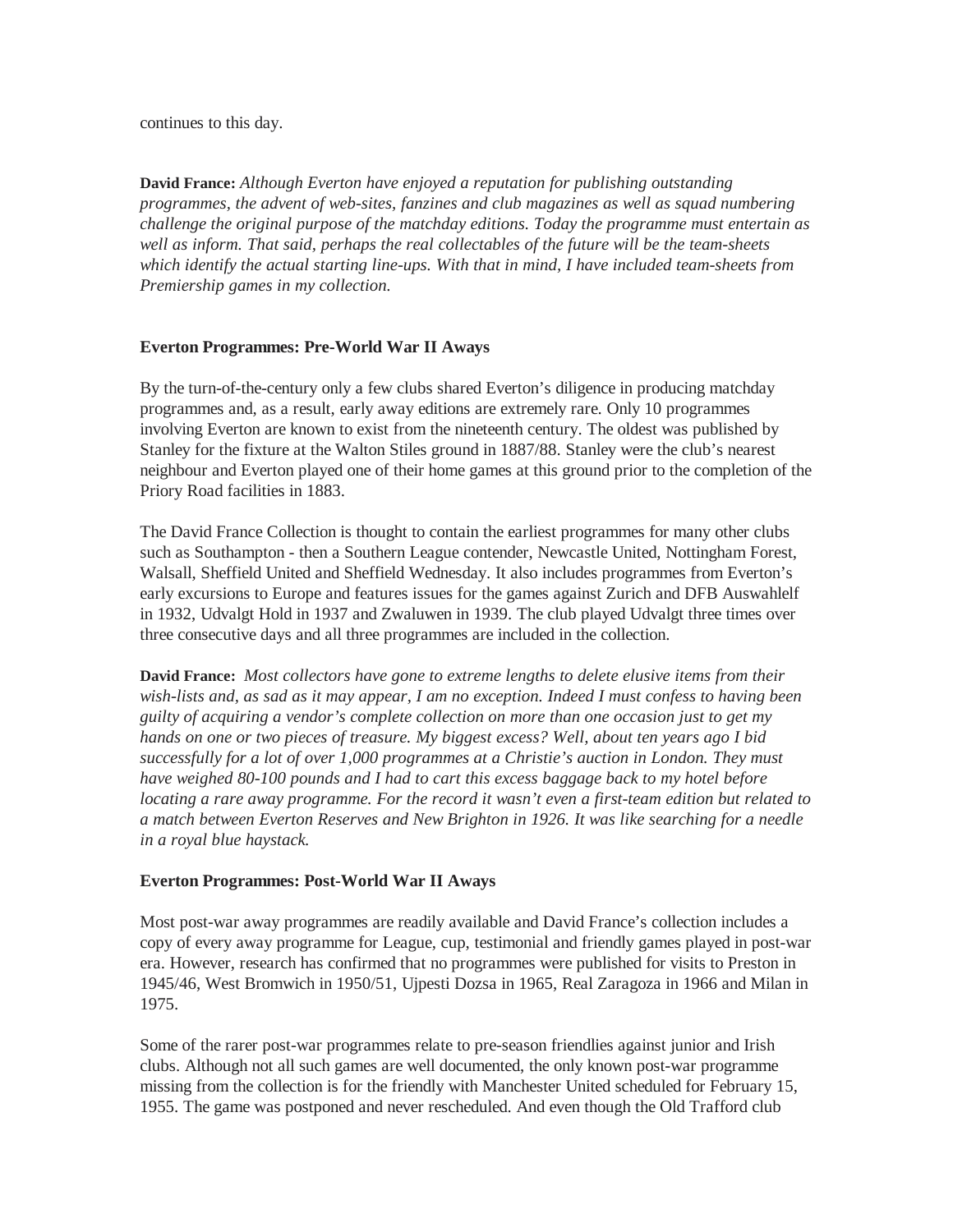continues to this day.

**David France:** *Although Everton have enjoyed a reputation for publishing outstanding programmes, the advent of web-sites, fanzines and club magazines as well as squad numbering challenge the original purpose of the matchday editions. Today the programme must entertain as well as inform. That said, perhaps the real collectables of the future will be the team-sheets which identify the actual starting line-ups. With that in mind, I have included team-sheets from Premiership games in my collection.* 

# **Everton Programmes: Pre-World War II Aways**

By the turn-of-the-century only a few clubs shared Everton's diligence in producing matchday programmes and, as a result, early away editions are extremely rare. Only 10 programmes involving Everton are known to exist from the nineteenth century. The oldest was published by Stanley for the fixture at the Walton Stiles ground in 1887/88. Stanley were the club's nearest neighbour and Everton played one of their home games at this ground prior to the completion of the Priory Road facilities in 1883.

The David France Collection is thought to contain the earliest programmes for many other clubs such as Southampton - then a Southern League contender, Newcastle United, Nottingham Forest, Walsall, Sheffield United and Sheffield Wednesday. It also includes programmes from Everton's early excursions to Europe and features issues for the games against Zurich and DFB Auswahlelf in 1932, Udvalgt Hold in 1937 and Zwaluwen in 1939. The club played Udvalgt three times over three consecutive days and all three programmes are included in the collection.

**David France:** *Most collectors have gone to extreme lengths to delete elusive items from their wish-lists and, as sad as it may appear, I am no exception. Indeed I must confess to having been guilty of acquiring a vendor's complete collection on more than one occasion just to get my hands on one or two pieces of treasure. My biggest excess? Well, about ten years ago I bid successfully for a lot of over 1,000 programmes at a Christie's auction in London. They must have weighed 80-100 pounds and I had to cart this excess baggage back to my hotel before locating a rare away programme. For the record it wasn't even a first-team edition but related to a match between Everton Reserves and New Brighton in 1926. It was like searching for a needle in a royal blue haystack.*

# **Everton Programmes: Post-World War II Aways**

Most post-war away programmes are readily available and David France's collection includes a copy of every away programme for League, cup, testimonial and friendly games played in post-war era. However, research has confirmed that no programmes were published for visits to Preston in 1945/46, West Bromwich in 1950/51, Ujpesti Dozsa in 1965, Real Zaragoza in 1966 and Milan in 1975.

Some of the rarer post-war programmes relate to pre-season friendlies against junior and Irish clubs. Although not all such games are well documented, the only known post-war programme missing from the collection is for the friendly with Manchester United scheduled for February 15, 1955. The game was postponed and never rescheduled. And even though the Old Trafford club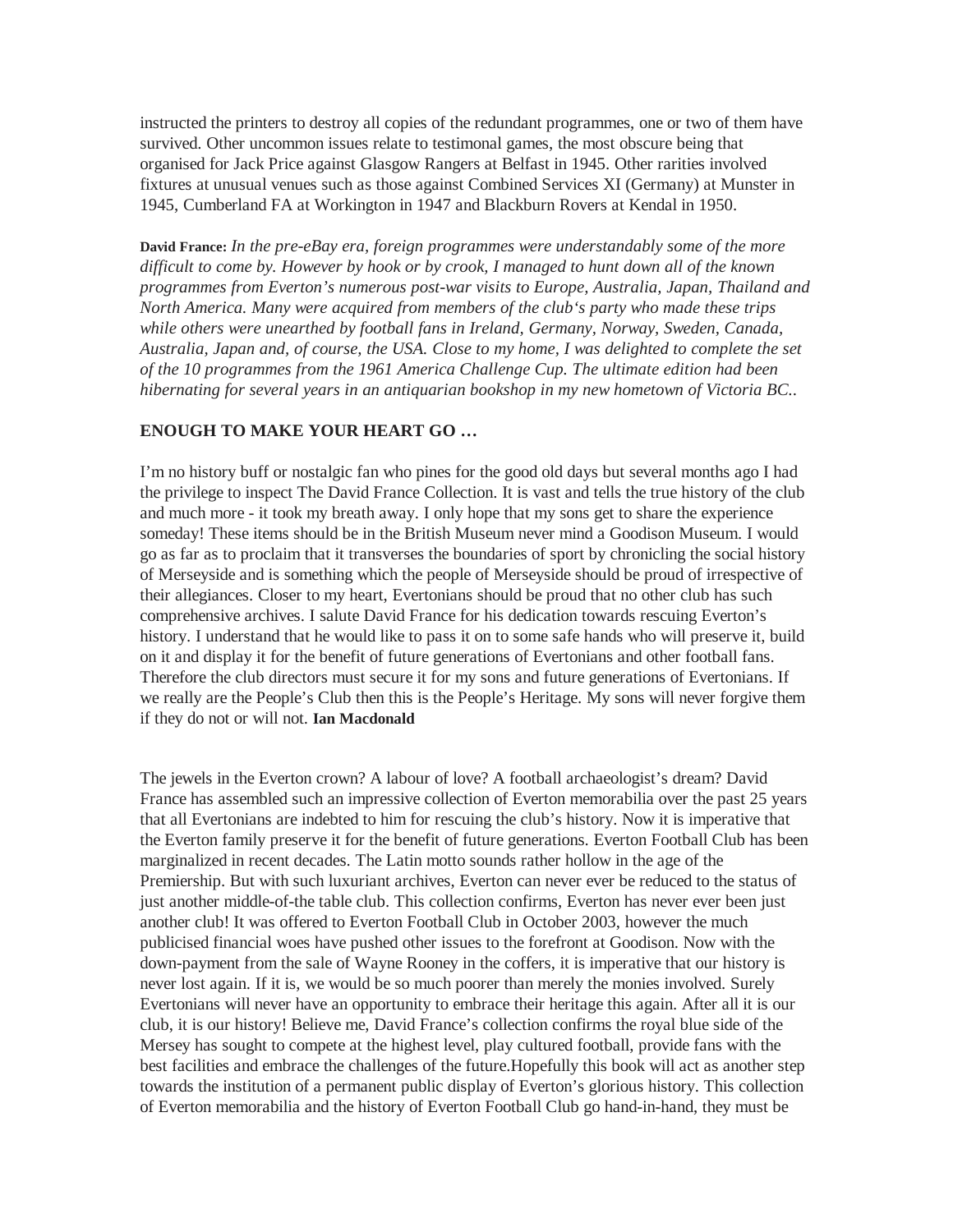instructed the printers to destroy all copies of the redundant programmes, one or two of them have survived. Other uncommon issues relate to testimonal games, the most obscure being that organised for Jack Price against Glasgow Rangers at Belfast in 1945. Other rarities involved fixtures at unusual venues such as those against Combined Services XI (Germany) at Munster in 1945, Cumberland FA at Workington in 1947 and Blackburn Rovers at Kendal in 1950.

**David France:** *In the pre-eBay era, foreign programmes were understandably some of the more difficult to come by. However by hook or by crook, I managed to hunt down all of the known programmes from Everton's numerous post-war visits to Europe, Australia, Japan, Thailand and North America. Many were acquired from members of the club's party who made these trips while others were unearthed by football fans in Ireland, Germany, Norway, Sweden, Canada, Australia, Japan and, of course, the USA. Close to my home, I was delighted to complete the set of the 10 programmes from the 1961 America Challenge Cup. The ultimate edition had been hibernating for several years in an antiquarian bookshop in my new hometown of Victoria BC..* 

#### **ENOUGH TO MAKE YOUR HEART GO …**

I'm no history buff or nostalgic fan who pines for the good old days but several months ago I had the privilege to inspect The David France Collection. It is vast and tells the true history of the club and much more - it took my breath away. I only hope that my sons get to share the experience someday! These items should be in the British Museum never mind a Goodison Museum. I would go as far as to proclaim that it transverses the boundaries of sport by chronicling the social history of Merseyside and is something which the people of Merseyside should be proud of irrespective of their allegiances. Closer to my heart, Evertonians should be proud that no other club has such comprehensive archives. I salute David France for his dedication towards rescuing Everton's history. I understand that he would like to pass it on to some safe hands who will preserve it, build on it and display it for the benefit of future generations of Evertonians and other football fans. Therefore the club directors must secure it for my sons and future generations of Evertonians. If we really are the People's Club then this is the People's Heritage. My sons will never forgive them if they do not or will not. **Ian Macdonald** 

The jewels in the Everton crown? A labour of love? A football archaeologist's dream? David France has assembled such an impressive collection of Everton memorabilia over the past 25 years that all Evertonians are indebted to him for rescuing the club's history. Now it is imperative that the Everton family preserve it for the benefit of future generations. Everton Football Club has been marginalized in recent decades. The Latin motto sounds rather hollow in the age of the Premiership. But with such luxuriant archives, Everton can never ever be reduced to the status of just another middle-of-the table club. This collection confirms, Everton has never ever been just another club! It was offered to Everton Football Club in October 2003, however the much publicised financial woes have pushed other issues to the forefront at Goodison. Now with the down-payment from the sale of Wayne Rooney in the coffers, it is imperative that our history is never lost again. If it is, we would be so much poorer than merely the monies involved. Surely Evertonians will never have an opportunity to embrace their heritage this again. After all it is our club, it is our history! Believe me, David France's collection confirms the royal blue side of the Mersey has sought to compete at the highest level, play cultured football, provide fans with the best facilities and embrace the challenges of the future.Hopefully this book will act as another step towards the institution of a permanent public display of Everton's glorious history. This collection of Everton memorabilia and the history of Everton Football Club go hand-in-hand, they must be